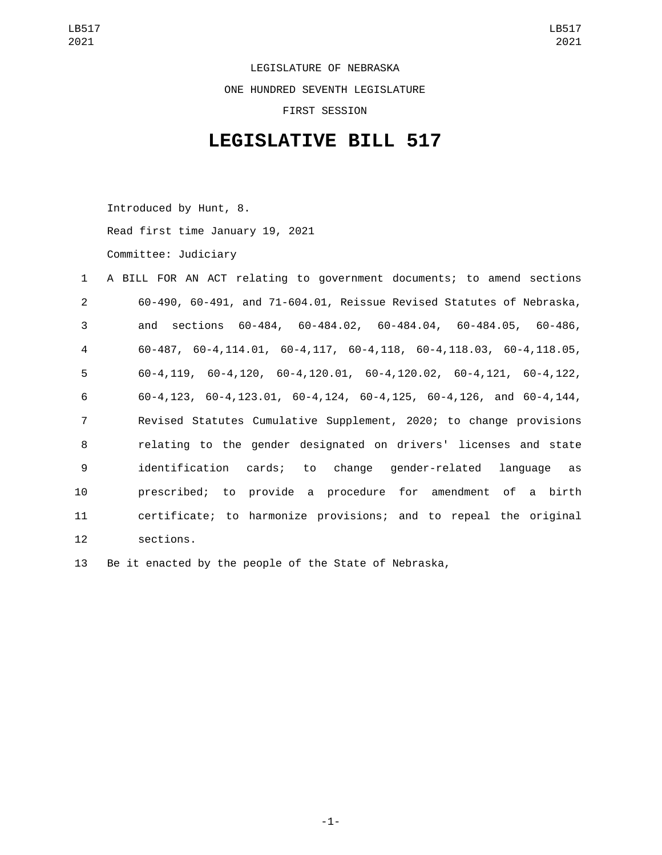LEGISLATURE OF NEBRASKA ONE HUNDRED SEVENTH LEGISLATURE FIRST SESSION

## **LEGISLATIVE BILL 517**

Introduced by Hunt, 8. Read first time January 19, 2021 Committee: Judiciary

| $\mathbf{1}$   | A BILL FOR AN ACT relating to government documents; to amend sections                     |
|----------------|-------------------------------------------------------------------------------------------|
| 2              | 60-490, 60-491, and 71-604.01, Reissue Revised Statutes of Nebraska,                      |
| 3              | and sections 60-484, 60-484.02, 60-484.04, 60-484.05, 60-486,                             |
| 4              | $60-487$ , $60-4$ , 114.01, $60-4$ , 117, $60-4$ , 118, $60-4$ , 118.03, $60-4$ , 118.05, |
| 5              | $60-4, 119, 60-4, 120, 60-4, 120.01, 60-4, 120.02, 60-4, 121, 60-4, 122,$                 |
| 6              | $60-4, 123, 60-4, 123.01, 60-4, 124, 60-4, 125, 60-4, 126, and 60-4, 144,$                |
| $\overline{7}$ | Revised Statutes Cumulative Supplement, 2020; to change provisions                        |
| 8              | relating to the gender designated on drivers' licenses and state                          |
| 9              | identification cards; to change gender-related language as                                |
| 10             | prescribed; to provide a procedure for amendment of a birth                               |
| 11             | certificate; to harmonize provisions; and to repeal the original                          |
| 12             | sections.                                                                                 |

13 Be it enacted by the people of the State of Nebraska,

-1-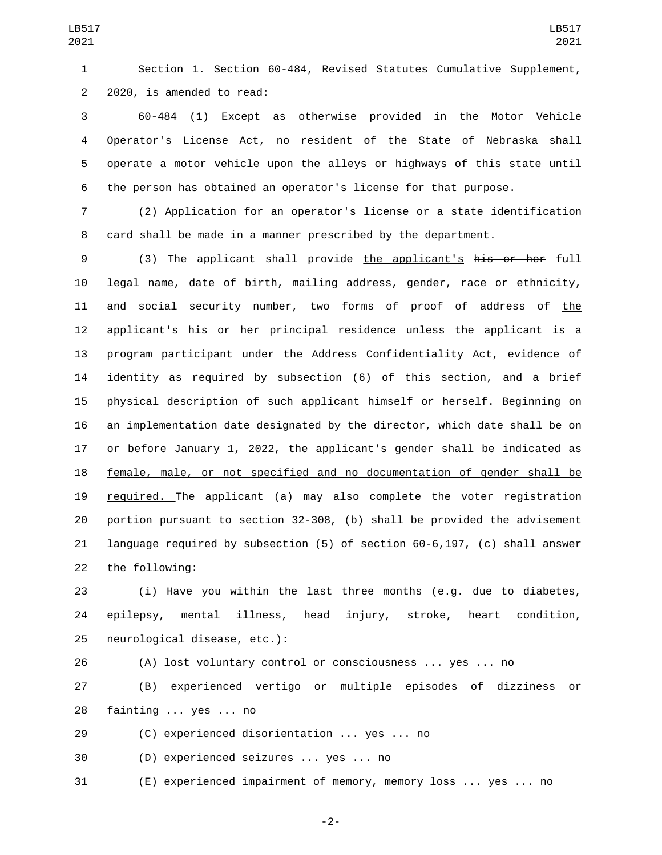Section 1. Section 60-484, Revised Statutes Cumulative Supplement, 2 2020, is amended to read:

 60-484 (1) Except as otherwise provided in the Motor Vehicle Operator's License Act, no resident of the State of Nebraska shall operate a motor vehicle upon the alleys or highways of this state until the person has obtained an operator's license for that purpose.

 (2) Application for an operator's license or a state identification card shall be made in a manner prescribed by the department.

 (3) The applicant shall provide the applicant's his or her full legal name, date of birth, mailing address, gender, race or ethnicity, and social security number, two forms of proof of address of the 12 applicant's his or her principal residence unless the applicant is a program participant under the Address Confidentiality Act, evidence of identity as required by subsection (6) of this section, and a brief 15 physical description of such applicant himself or herself. Beginning on an implementation date designated by the director, which date shall be on or before January 1, 2022, the applicant's gender shall be indicated as female, male, or not specified and no documentation of gender shall be required. The applicant (a) may also complete the voter registration portion pursuant to section 32-308, (b) shall be provided the advisement language required by subsection (5) of section 60-6,197, (c) shall answer 22 the following:

 (i) Have you within the last three months (e.g. due to diabetes, epilepsy, mental illness, head injury, stroke, heart condition, 25 neurological disease, etc.):

 (A) lost voluntary control or consciousness ... yes ... no (B) experienced vertigo or multiple episodes of dizziness or 28 fainting ... yes ... no

(C) experienced disorientation ... yes ... no

30 (D) experienced seizures ... yes ... no

(E) experienced impairment of memory, memory loss ... yes ... no

-2-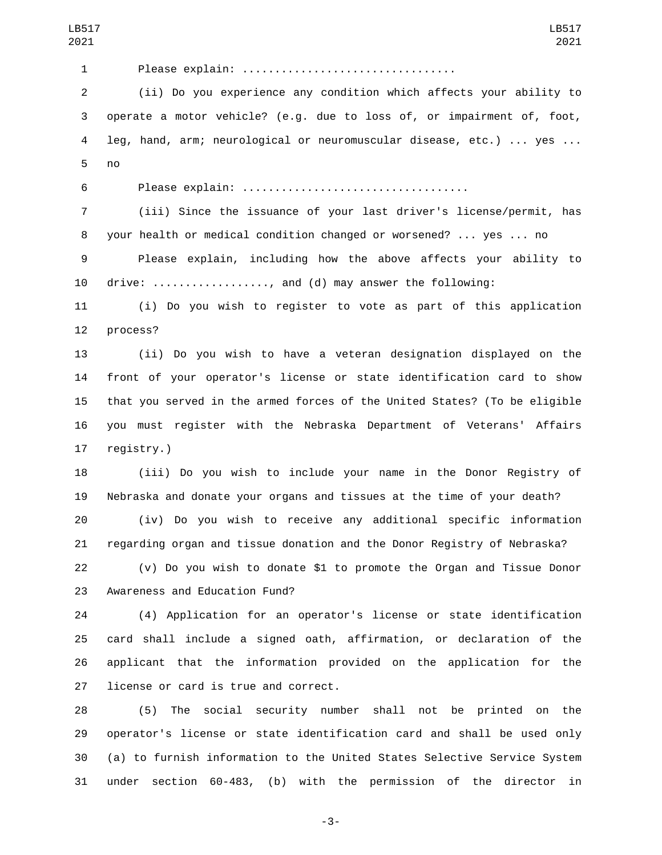| LB517<br>2021  | LB517<br>2021                                                             |
|----------------|---------------------------------------------------------------------------|
| 1              | Please explain:                                                           |
| $\overline{2}$ | (ii) Do you experience any condition which affects your ability to        |
| 3              | operate a motor vehicle? (e.g. due to loss of, or impairment of, foot,    |
| 4              | leg, hand, arm; neurological or neuromuscular disease, etc.)  yes         |
| 5              | no                                                                        |
| 6              |                                                                           |
| $\overline{7}$ | (iii) Since the issuance of your last driver's license/permit, has        |
| 8              | your health or medical condition changed or worsened?  yes  no            |
| 9              | Please explain, including how the above affects your ability to           |
| 10             | drive: , and (d) may answer the following:                                |
| 11             | (i) Do you wish to register to vote as part of this application           |
| 12             | process?                                                                  |
| 13             | (ii) Do you wish to have a veteran designation displayed on the           |
| 14             | front of your operator's license or state identification card to show     |
| 15             | that you served in the armed forces of the United States? (To be eligible |
| 16             | you must register with the Nebraska Department of Veterans' Affairs       |
| 17             | registry.)                                                                |
| 18             | (iii) Do you wish to include your name in the Donor Registry of           |
| 19             | Nebraska and donate your organs and tissues at the time of your death?    |
| 20             | (iv) Do you wish to receive any additional specific information           |
| 21             | regarding organ and tissue donation and the Donor Registry of Nebraska?   |
| 22             | (v) Do you wish to donate \$1 to promote the Organ and Tissue Donor       |
| 23             | Awareness and Education Fund?                                             |
| 24             | (4) Application for an operator's license or state identification         |
| 25             | card shall include a signed oath, affirmation, or declaration of the      |
| 26             | applicant that the information provided on the application for<br>the     |
| 27             | license or card is true and correct.                                      |
| 28             | The social security number shall not be printed on the<br>(5)             |
| 29             | operator's license or state identification card and shall be used only    |
| 30             | (a) to furnish information to the United States Selective Service System  |
| 31             | section 60-483, (b) with the permission of the director in<br>under       |

-3-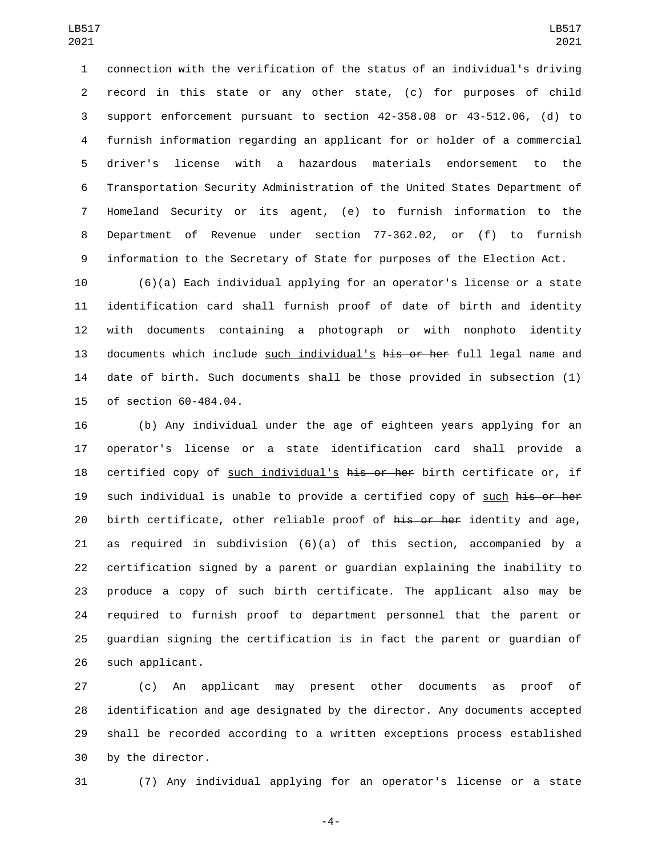connection with the verification of the status of an individual's driving record in this state or any other state, (c) for purposes of child support enforcement pursuant to section 42-358.08 or 43-512.06, (d) to furnish information regarding an applicant for or holder of a commercial driver's license with a hazardous materials endorsement to the Transportation Security Administration of the United States Department of Homeland Security or its agent, (e) to furnish information to the Department of Revenue under section 77-362.02, or (f) to furnish information to the Secretary of State for purposes of the Election Act.

 (6)(a) Each individual applying for an operator's license or a state identification card shall furnish proof of date of birth and identity with documents containing a photograph or with nonphoto identity 13 documents which include such individual's his or her full legal name and date of birth. Such documents shall be those provided in subsection (1) 15 of section 60-484.04.

 (b) Any individual under the age of eighteen years applying for an operator's license or a state identification card shall provide a 18 certified copy of such individual's his or her birth certificate or, if 19 such individual is unable to provide a certified copy of such his or her 20 birth certificate, other reliable proof of his or her identity and age, as required in subdivision (6)(a) of this section, accompanied by a certification signed by a parent or guardian explaining the inability to produce a copy of such birth certificate. The applicant also may be required to furnish proof to department personnel that the parent or guardian signing the certification is in fact the parent or guardian of 26 such applicant.

 (c) An applicant may present other documents as proof of identification and age designated by the director. Any documents accepted shall be recorded according to a written exceptions process established 30 by the director.

(7) Any individual applying for an operator's license or a state

-4-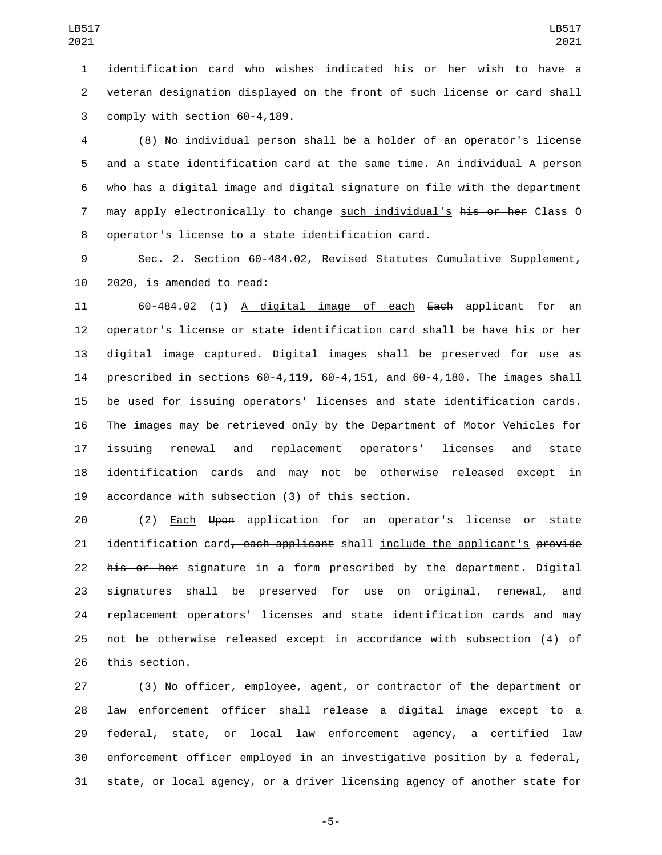identification card who wishes indicated his or her wish to have a veteran designation displayed on the front of such license or card shall 3 comply with section 60-4,189.

 (8) No individual person shall be a holder of an operator's license 5 and a state identification card at the same time. An individual A person who has a digital image and digital signature on file with the department 7 may apply electronically to change such individual's his or her Class 0 8 operator's license to a state identification card.

 Sec. 2. Section 60-484.02, Revised Statutes Cumulative Supplement, 10 2020, is amended to read:

 60-484.02 (1) A digital image of each Each applicant for an 12 operator's license or state identification card shall be have his or her 13 digital image captured. Digital images shall be preserved for use as prescribed in sections 60-4,119, 60-4,151, and 60-4,180. The images shall be used for issuing operators' licenses and state identification cards. The images may be retrieved only by the Department of Motor Vehicles for issuing renewal and replacement operators' licenses and state identification cards and may not be otherwise released except in 19 accordance with subsection (3) of this section.

 (2) Each Upon application for an operator's license or state 21 identification card, each applicant shall include the applicant's provide 22 his or her signature in a form prescribed by the department. Digital signatures shall be preserved for use on original, renewal, and replacement operators' licenses and state identification cards and may not be otherwise released except in accordance with subsection (4) of 26 this section.

 (3) No officer, employee, agent, or contractor of the department or law enforcement officer shall release a digital image except to a federal, state, or local law enforcement agency, a certified law enforcement officer employed in an investigative position by a federal, state, or local agency, or a driver licensing agency of another state for

-5-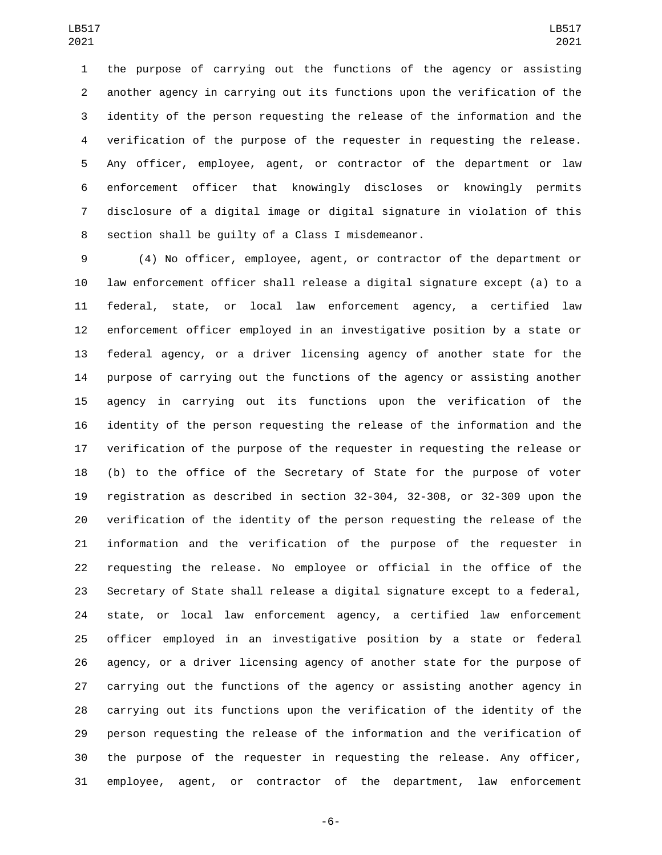the purpose of carrying out the functions of the agency or assisting another agency in carrying out its functions upon the verification of the identity of the person requesting the release of the information and the verification of the purpose of the requester in requesting the release. Any officer, employee, agent, or contractor of the department or law enforcement officer that knowingly discloses or knowingly permits disclosure of a digital image or digital signature in violation of this 8 section shall be quilty of a Class I misdemeanor.

 (4) No officer, employee, agent, or contractor of the department or law enforcement officer shall release a digital signature except (a) to a federal, state, or local law enforcement agency, a certified law enforcement officer employed in an investigative position by a state or federal agency, or a driver licensing agency of another state for the purpose of carrying out the functions of the agency or assisting another agency in carrying out its functions upon the verification of the identity of the person requesting the release of the information and the verification of the purpose of the requester in requesting the release or (b) to the office of the Secretary of State for the purpose of voter registration as described in section 32-304, 32-308, or 32-309 upon the verification of the identity of the person requesting the release of the information and the verification of the purpose of the requester in requesting the release. No employee or official in the office of the Secretary of State shall release a digital signature except to a federal, state, or local law enforcement agency, a certified law enforcement officer employed in an investigative position by a state or federal agency, or a driver licensing agency of another state for the purpose of carrying out the functions of the agency or assisting another agency in carrying out its functions upon the verification of the identity of the person requesting the release of the information and the verification of the purpose of the requester in requesting the release. Any officer, employee, agent, or contractor of the department, law enforcement

-6-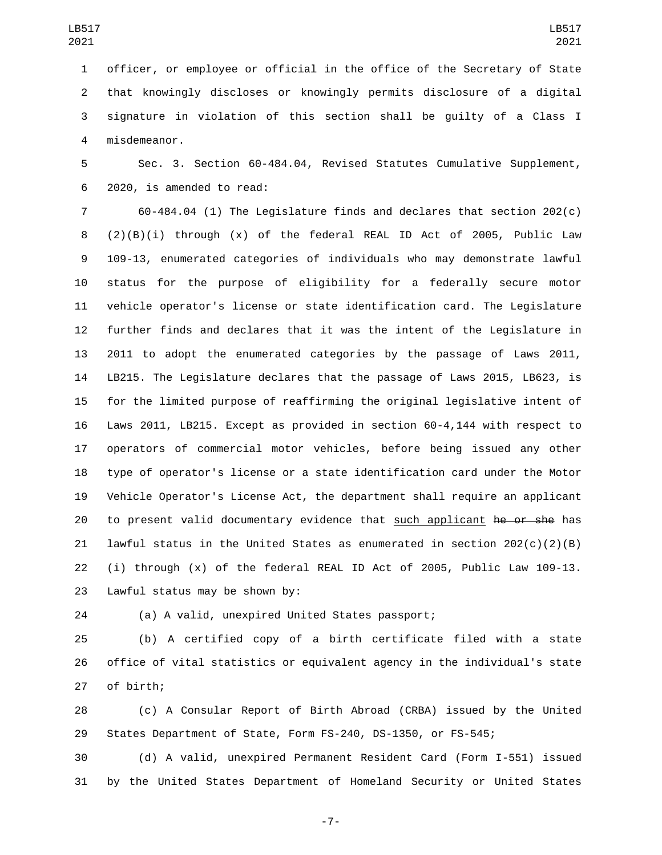officer, or employee or official in the office of the Secretary of State that knowingly discloses or knowingly permits disclosure of a digital signature in violation of this section shall be guilty of a Class I misdemeanor.4

 Sec. 3. Section 60-484.04, Revised Statutes Cumulative Supplement, 2020, is amended to read:6

 60-484.04 (1) The Legislature finds and declares that section 202(c) (2)(B)(i) through (x) of the federal REAL ID Act of 2005, Public Law 109-13, enumerated categories of individuals who may demonstrate lawful status for the purpose of eligibility for a federally secure motor vehicle operator's license or state identification card. The Legislature further finds and declares that it was the intent of the Legislature in 2011 to adopt the enumerated categories by the passage of Laws 2011, LB215. The Legislature declares that the passage of Laws 2015, LB623, is for the limited purpose of reaffirming the original legislative intent of Laws 2011, LB215. Except as provided in section 60-4,144 with respect to operators of commercial motor vehicles, before being issued any other type of operator's license or a state identification card under the Motor Vehicle Operator's License Act, the department shall require an applicant 20 to present valid documentary evidence that such applicant he or she has lawful status in the United States as enumerated in section 202(c)(2)(B) (i) through (x) of the federal REAL ID Act of 2005, Public Law 109-13. 23 Lawful status may be shown by:

(a) A valid, unexpired United States passport;

 (b) A certified copy of a birth certificate filed with a state office of vital statistics or equivalent agency in the individual's state 27 of birth;

 (c) A Consular Report of Birth Abroad (CRBA) issued by the United States Department of State, Form FS-240, DS-1350, or FS-545;

 (d) A valid, unexpired Permanent Resident Card (Form I-551) issued by the United States Department of Homeland Security or United States

-7-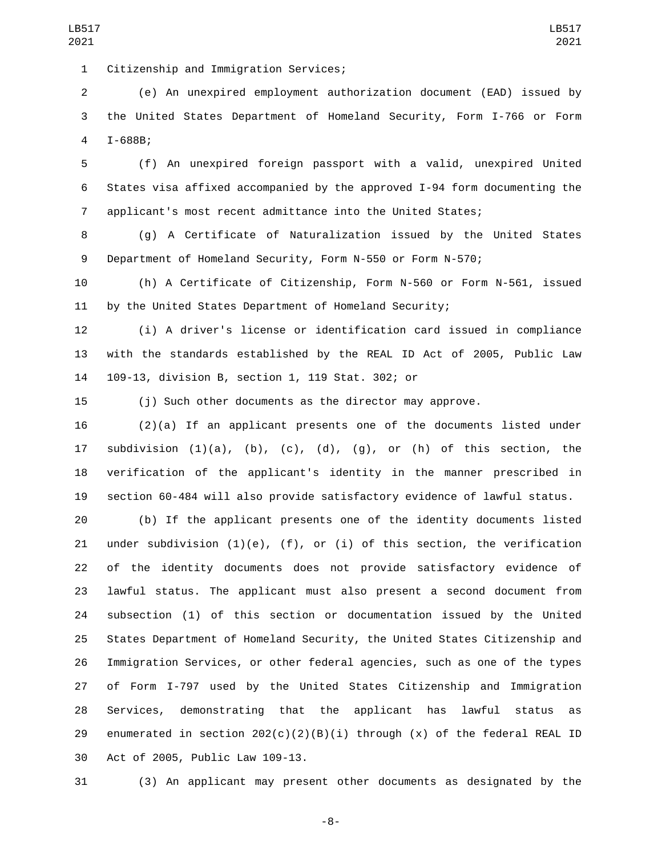1 Citizenship and Immigration Services;

 (e) An unexpired employment authorization document (EAD) issued by the United States Department of Homeland Security, Form I-766 or Form 4 I-688B;

 (f) An unexpired foreign passport with a valid, unexpired United States visa affixed accompanied by the approved I-94 form documenting the applicant's most recent admittance into the United States;

 (g) A Certificate of Naturalization issued by the United States Department of Homeland Security, Form N-550 or Form N-570;

 (h) A Certificate of Citizenship, Form N-560 or Form N-561, issued by the United States Department of Homeland Security;

 (i) A driver's license or identification card issued in compliance with the standards established by the REAL ID Act of 2005, Public Law 14 109-13, division B, section 1, 119 Stat. 302; or

(j) Such other documents as the director may approve.

 (2)(a) If an applicant presents one of the documents listed under 17 subdivision  $(1)(a)$ ,  $(b)$ ,  $(c)$ ,  $(d)$ ,  $(g)$ , or  $(h)$  of this section, the verification of the applicant's identity in the manner prescribed in section 60-484 will also provide satisfactory evidence of lawful status.

 (b) If the applicant presents one of the identity documents listed 21 under subdivision  $(1)(e)$ ,  $(f)$ , or  $(i)$  of this section, the verification of the identity documents does not provide satisfactory evidence of lawful status. The applicant must also present a second document from subsection (1) of this section or documentation issued by the United States Department of Homeland Security, the United States Citizenship and Immigration Services, or other federal agencies, such as one of the types of Form I-797 used by the United States Citizenship and Immigration Services, demonstrating that the applicant has lawful status as 29 enumerated in section  $202(c)(2)(B)(i)$  through  $(x)$  of the federal REAL ID 30 Act of 2005, Public Law 109-13.

(3) An applicant may present other documents as designated by the

-8-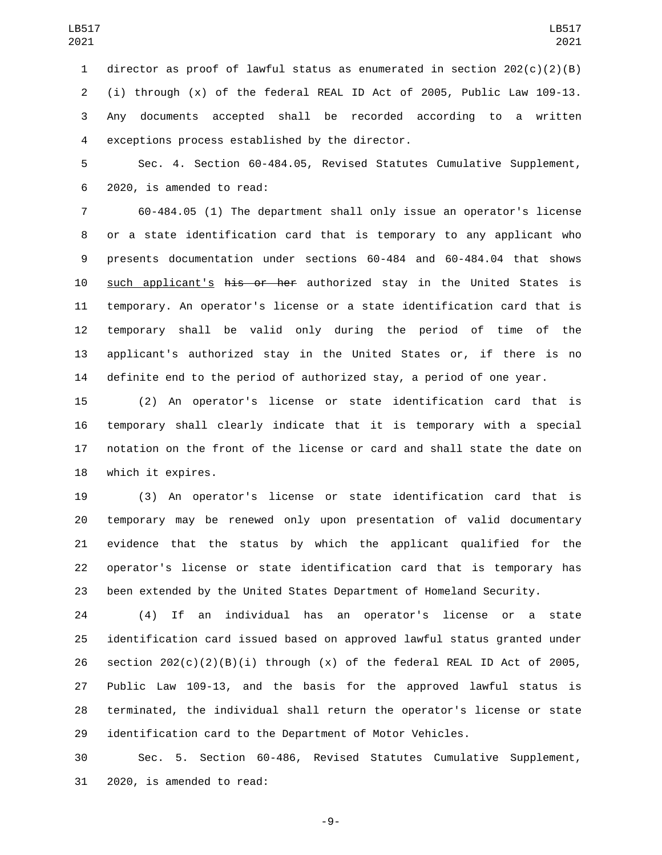director as proof of lawful status as enumerated in section 202(c)(2)(B) (i) through (x) of the federal REAL ID Act of 2005, Public Law 109-13. Any documents accepted shall be recorded according to a written 4 exceptions process established by the director.

 Sec. 4. Section 60-484.05, Revised Statutes Cumulative Supplement, 2020, is amended to read:6

 60-484.05 (1) The department shall only issue an operator's license or a state identification card that is temporary to any applicant who presents documentation under sections 60-484 and 60-484.04 that shows 10 such applicant's his or her authorized stay in the United States is temporary. An operator's license or a state identification card that is temporary shall be valid only during the period of time of the applicant's authorized stay in the United States or, if there is no definite end to the period of authorized stay, a period of one year.

 (2) An operator's license or state identification card that is temporary shall clearly indicate that it is temporary with a special notation on the front of the license or card and shall state the date on 18 which it expires.

 (3) An operator's license or state identification card that is temporary may be renewed only upon presentation of valid documentary evidence that the status by which the applicant qualified for the operator's license or state identification card that is temporary has been extended by the United States Department of Homeland Security.

 (4) If an individual has an operator's license or a state identification card issued based on approved lawful status granted under 26 section  $202(c)(2)(B)(i)$  through  $(x)$  of the federal REAL ID Act of 2005, Public Law 109-13, and the basis for the approved lawful status is terminated, the individual shall return the operator's license or state identification card to the Department of Motor Vehicles.

 Sec. 5. Section 60-486, Revised Statutes Cumulative Supplement, 31 2020, is amended to read:

-9-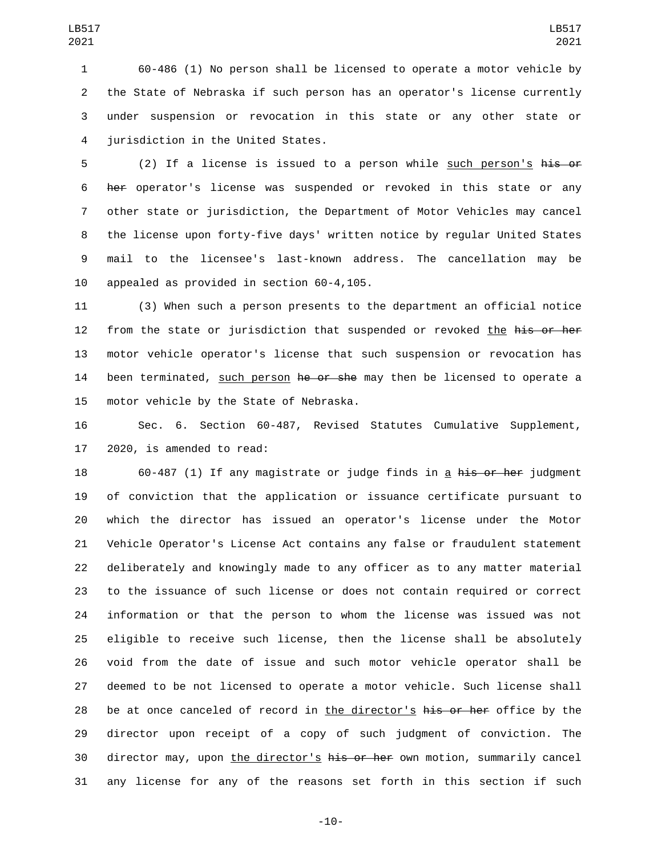60-486 (1) No person shall be licensed to operate a motor vehicle by the State of Nebraska if such person has an operator's license currently under suspension or revocation in this state or any other state or 4 jurisdiction in the United States.

5 (2) If a license is issued to a person while such person's his or her operator's license was suspended or revoked in this state or any other state or jurisdiction, the Department of Motor Vehicles may cancel the license upon forty-five days' written notice by regular United States mail to the licensee's last-known address. The cancellation may be 10 appealed as provided in section 60-4,105.

 (3) When such a person presents to the department an official notice 12 from the state or jurisdiction that suspended or revoked the his or her motor vehicle operator's license that such suspension or revocation has 14 been terminated, such person he or she may then be licensed to operate a 15 motor vehicle by the State of Nebraska.

 Sec. 6. Section 60-487, Revised Statutes Cumulative Supplement, 2020, is amended to read:

18 60-487 (1) If any magistrate or judge finds in a his or her judgment of conviction that the application or issuance certificate pursuant to which the director has issued an operator's license under the Motor Vehicle Operator's License Act contains any false or fraudulent statement deliberately and knowingly made to any officer as to any matter material to the issuance of such license or does not contain required or correct information or that the person to whom the license was issued was not eligible to receive such license, then the license shall be absolutely void from the date of issue and such motor vehicle operator shall be deemed to be not licensed to operate a motor vehicle. Such license shall 28 be at once canceled of record in the director's his or her office by the director upon receipt of a copy of such judgment of conviction. The 30 director may, upon the director's his or her own motion, summarily cancel any license for any of the reasons set forth in this section if such

-10-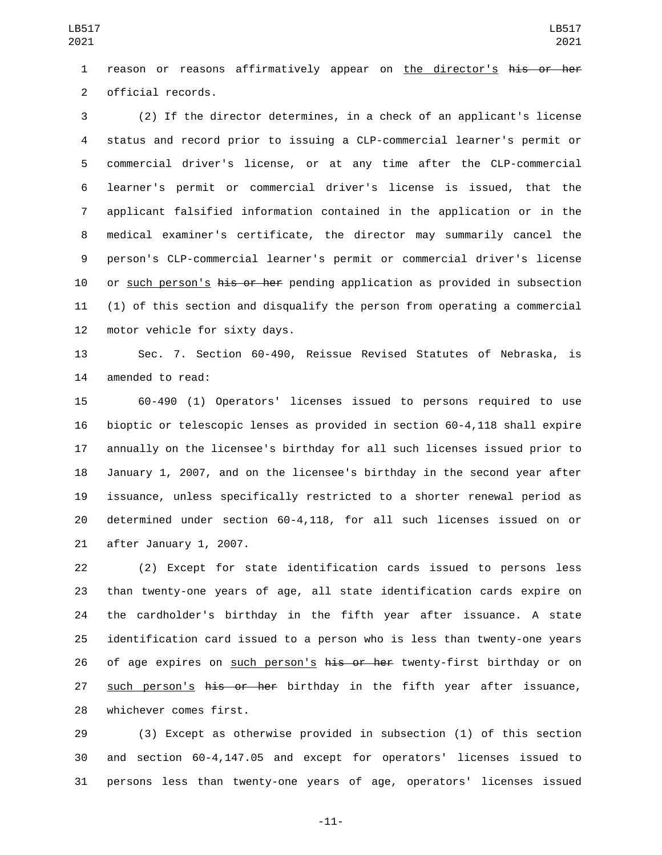reason or reasons affirmatively appear on the director's his or her 2 official records.

 (2) If the director determines, in a check of an applicant's license status and record prior to issuing a CLP-commercial learner's permit or commercial driver's license, or at any time after the CLP-commercial learner's permit or commercial driver's license is issued, that the applicant falsified information contained in the application or in the medical examiner's certificate, the director may summarily cancel the person's CLP-commercial learner's permit or commercial driver's license 10 or such person's his or her pending application as provided in subsection (1) of this section and disqualify the person from operating a commercial 12 motor vehicle for sixty days.

 Sec. 7. Section 60-490, Reissue Revised Statutes of Nebraska, is 14 amended to read:

 60-490 (1) Operators' licenses issued to persons required to use bioptic or telescopic lenses as provided in section 60-4,118 shall expire annually on the licensee's birthday for all such licenses issued prior to January 1, 2007, and on the licensee's birthday in the second year after issuance, unless specifically restricted to a shorter renewal period as determined under section 60-4,118, for all such licenses issued on or 21 after January 1, 2007.

 (2) Except for state identification cards issued to persons less than twenty-one years of age, all state identification cards expire on the cardholder's birthday in the fifth year after issuance. A state identification card issued to a person who is less than twenty-one years 26 of age expires on such person's his or her twenty-first birthday or on 27 such person's his or her birthday in the fifth year after issuance, 28 whichever comes first.

 (3) Except as otherwise provided in subsection (1) of this section and section 60-4,147.05 and except for operators' licenses issued to persons less than twenty-one years of age, operators' licenses issued

-11-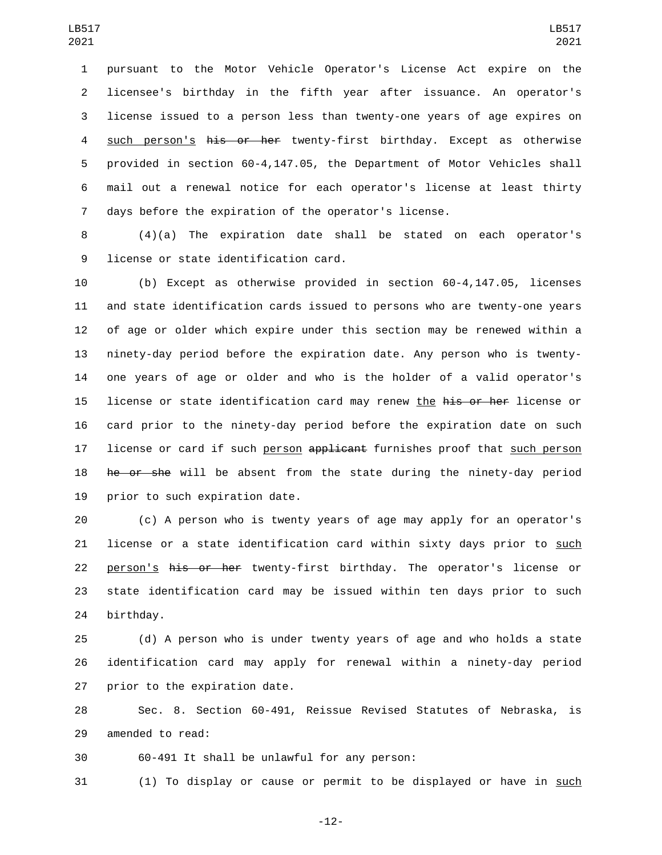pursuant to the Motor Vehicle Operator's License Act expire on the licensee's birthday in the fifth year after issuance. An operator's license issued to a person less than twenty-one years of age expires on 4 such person's his or her twenty-first birthday. Except as otherwise provided in section 60-4,147.05, the Department of Motor Vehicles shall mail out a renewal notice for each operator's license at least thirty days before the expiration of the operator's license.

 (4)(a) The expiration date shall be stated on each operator's 9 license or state identification card.

 (b) Except as otherwise provided in section 60-4,147.05, licenses and state identification cards issued to persons who are twenty-one years of age or older which expire under this section may be renewed within a ninety-day period before the expiration date. Any person who is twenty- one years of age or older and who is the holder of a valid operator's 15 license or state identification card may renew the his or her license or card prior to the ninety-day period before the expiration date on such 17 license or card if such person applicant furnishes proof that such person 18 he or she will be absent from the state during the ninety-day period 19 prior to such expiration date.

 (c) A person who is twenty years of age may apply for an operator's license or a state identification card within sixty days prior to such 22 person's his or her twenty-first birthday. The operator's license or state identification card may be issued within ten days prior to such 24 birthday.

 (d) A person who is under twenty years of age and who holds a state identification card may apply for renewal within a ninety-day period 27 prior to the expiration date.

 Sec. 8. Section 60-491, Reissue Revised Statutes of Nebraska, is 29 amended to read:

30 60-491 It shall be unlawful for any person:

(1) To display or cause or permit to be displayed or have in such

-12-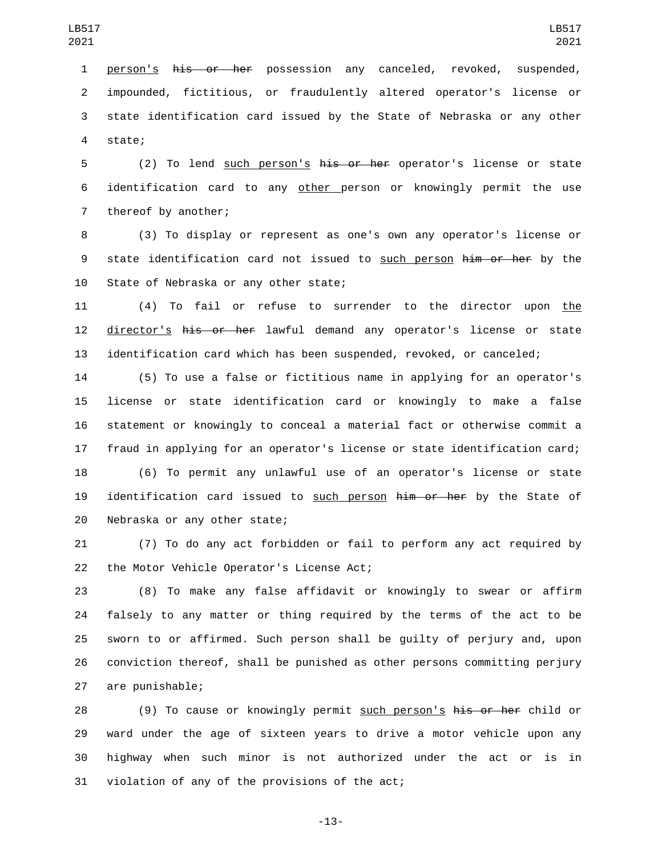person's his or her possession any canceled, revoked, suspended, impounded, fictitious, or fraudulently altered operator's license or state identification card issued by the State of Nebraska or any other 4 state;

5 (2) To lend such person's his or her operator's license or state 6 identification card to any other person or knowingly permit the use 7 thereof by another;

8 (3) To display or represent as one's own any operator's license or 9 state identification card not issued to such person him or her by the 10 State of Nebraska or any other state;

11 (4) To fail or refuse to surrender to the director upon the 12 director's his or her lawful demand any operator's license or state 13 identification card which has been suspended, revoked, or canceled;

 (5) To use a false or fictitious name in applying for an operator's license or state identification card or knowingly to make a false statement or knowingly to conceal a material fact or otherwise commit a fraud in applying for an operator's license or state identification card;

18 (6) To permit any unlawful use of an operator's license or state 19 identification card issued to such person him or her by the State of 20 Nebraska or any other state;

21 (7) To do any act forbidden or fail to perform any act required by 22 the Motor Vehicle Operator's License Act;

 (8) To make any false affidavit or knowingly to swear or affirm falsely to any matter or thing required by the terms of the act to be sworn to or affirmed. Such person shall be guilty of perjury and, upon conviction thereof, shall be punished as other persons committing perjury 27 are punishable;

28 (9) To cause or knowingly permit such person's his or her child or 29 ward under the age of sixteen years to drive a motor vehicle upon any 30 highway when such minor is not authorized under the act or is in 31 violation of any of the provisions of the act;

-13-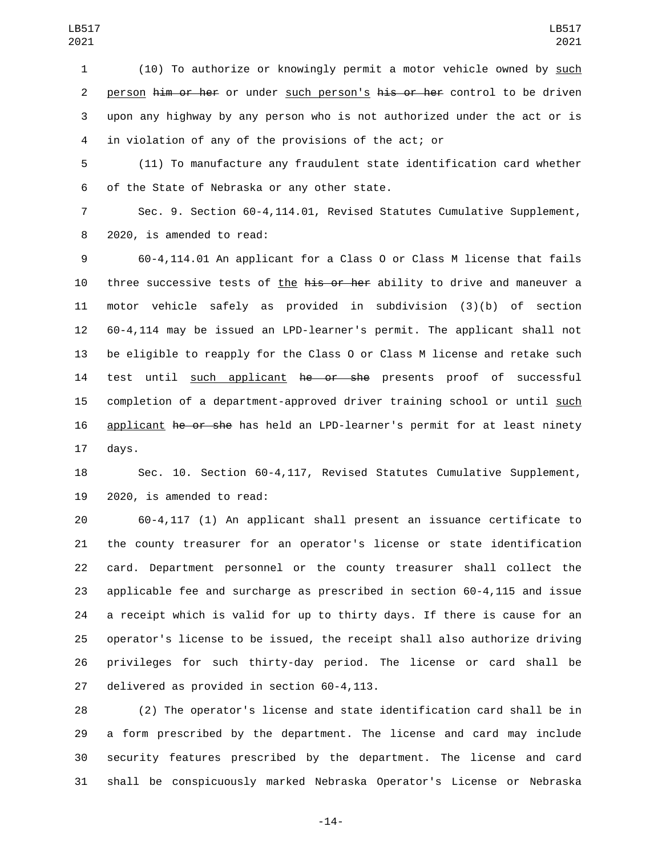(10) To authorize or knowingly permit a motor vehicle owned by such 2 person him or her or under such person's his or her control to be driven upon any highway by any person who is not authorized under the act or is in violation of any of the provisions of the act; or

 (11) To manufacture any fraudulent state identification card whether 6 of the State of Nebraska or any other state.

 Sec. 9. Section 60-4,114.01, Revised Statutes Cumulative Supplement, 8 2020, is amended to read:

 60-4,114.01 An applicant for a Class O or Class M license that fails 10 three successive tests of the his or her ability to drive and maneuver a motor vehicle safely as provided in subdivision (3)(b) of section 60-4,114 may be issued an LPD-learner's permit. The applicant shall not be eligible to reapply for the Class O or Class M license and retake such 14 test until such applicant he or she presents proof of successful completion of a department-approved driver training school or until such 16 applicant he or she has held an LPD-learner's permit for at least ninety 17 days.

 Sec. 10. Section 60-4,117, Revised Statutes Cumulative Supplement,  $2020$ , is amended to read:

 60-4,117 (1) An applicant shall present an issuance certificate to the county treasurer for an operator's license or state identification card. Department personnel or the county treasurer shall collect the applicable fee and surcharge as prescribed in section 60-4,115 and issue a receipt which is valid for up to thirty days. If there is cause for an operator's license to be issued, the receipt shall also authorize driving privileges for such thirty-day period. The license or card shall be 27 delivered as provided in section 60-4,113.

 (2) The operator's license and state identification card shall be in a form prescribed by the department. The license and card may include security features prescribed by the department. The license and card shall be conspicuously marked Nebraska Operator's License or Nebraska

-14-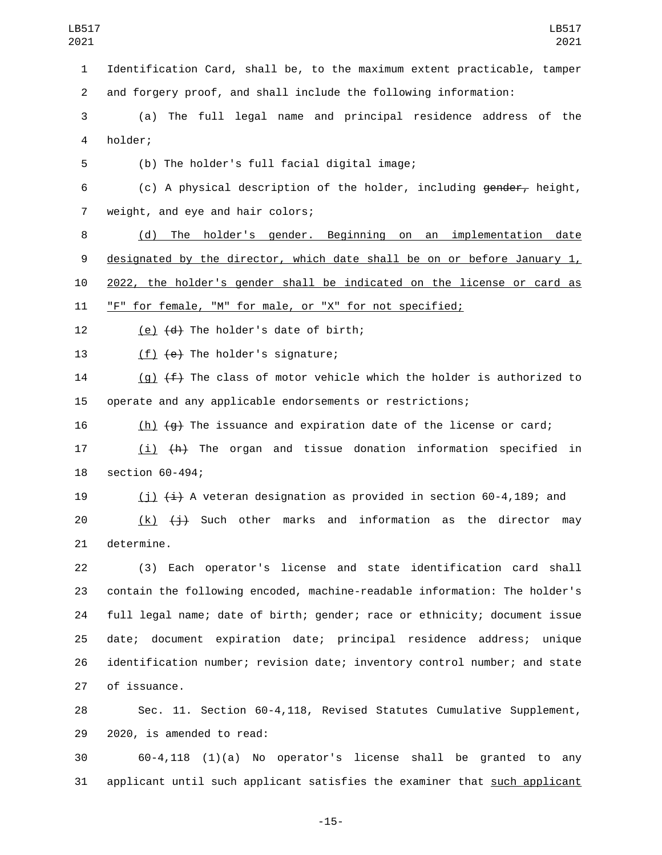1 Identification Card, shall be, to the maximum extent practicable, tamper 2 and forgery proof, and shall include the following information:

3 (a) The full legal name and principal residence address of the 4 holder;

(b) The holder's full facial digital image;5

6 (c) A physical description of the holder, including gender, height, 7 weight, and eye and hair colors;

 (d) The holder's gender. Beginning on an implementation date designated by the director, which date shall be on or before January 1, 2022, the holder's gender shall be indicated on the license or card as "F" for female, "M" for male, or "X" for not specified;

12  $(e)$   $(d)$  The holder's date of birth;

13  $(f)$   $(e)$  The holder's signature;

14 (g)  $(f)$  The class of motor vehicle which the holder is authorized to 15 operate and any applicable endorsements or restrictions;

16  $(h)$   $(g)$  The issuance and expiration date of the license or card;

17 (i)  $\{h\}$  The organ and tissue donation information specified in 18 section 60-494;

19 (i)  $\leftrightarrow$  A veteran designation as provided in section 60-4,189; and

20  $(k)$   $(j)$  Such other marks and information as the director may 21 determine.

 (3) Each operator's license and state identification card shall contain the following encoded, machine-readable information: The holder's full legal name; date of birth; gender; race or ethnicity; document issue date; document expiration date; principal residence address; unique identification number; revision date; inventory control number; and state 27 of issuance.

28 Sec. 11. Section 60-4,118, Revised Statutes Cumulative Supplement, 29 2020, is amended to read:

30 60-4,118 (1)(a) No operator's license shall be granted to any 31 applicant until such applicant satisfies the examiner that such applicant

-15-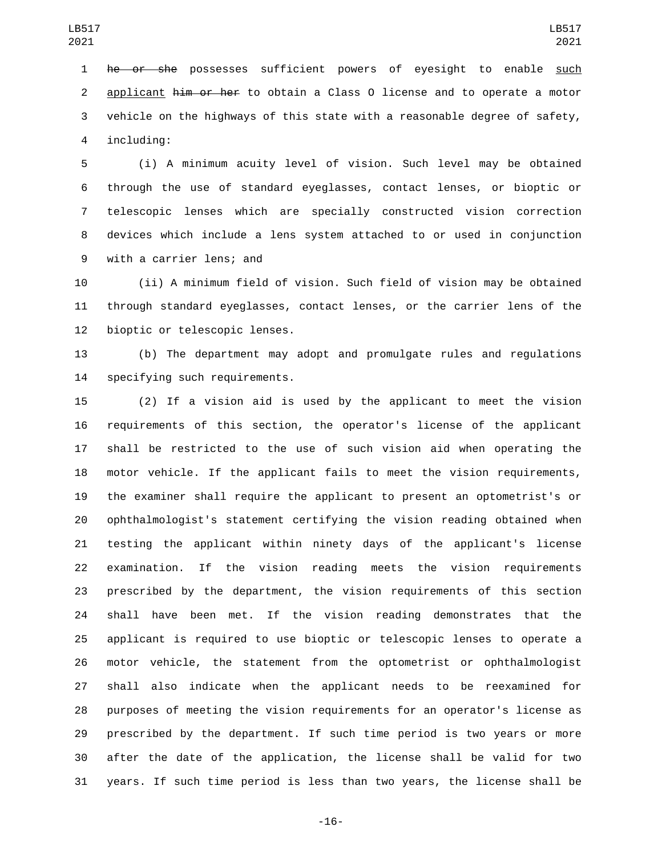1 he or she possesses sufficient powers of eyesight to enable such 2 applicant him or her to obtain a Class 0 license and to operate a motor vehicle on the highways of this state with a reasonable degree of safety, 4 including:

 (i) A minimum acuity level of vision. Such level may be obtained through the use of standard eyeglasses, contact lenses, or bioptic or telescopic lenses which are specially constructed vision correction devices which include a lens system attached to or used in conjunction 9 with a carrier lens; and

 (ii) A minimum field of vision. Such field of vision may be obtained through standard eyeglasses, contact lenses, or the carrier lens of the 12 bioptic or telescopic lenses.

 (b) The department may adopt and promulgate rules and regulations 14 specifying such requirements.

 (2) If a vision aid is used by the applicant to meet the vision requirements of this section, the operator's license of the applicant shall be restricted to the use of such vision aid when operating the motor vehicle. If the applicant fails to meet the vision requirements, the examiner shall require the applicant to present an optometrist's or ophthalmologist's statement certifying the vision reading obtained when testing the applicant within ninety days of the applicant's license examination. If the vision reading meets the vision requirements prescribed by the department, the vision requirements of this section shall have been met. If the vision reading demonstrates that the applicant is required to use bioptic or telescopic lenses to operate a motor vehicle, the statement from the optometrist or ophthalmologist shall also indicate when the applicant needs to be reexamined for purposes of meeting the vision requirements for an operator's license as prescribed by the department. If such time period is two years or more after the date of the application, the license shall be valid for two years. If such time period is less than two years, the license shall be

-16-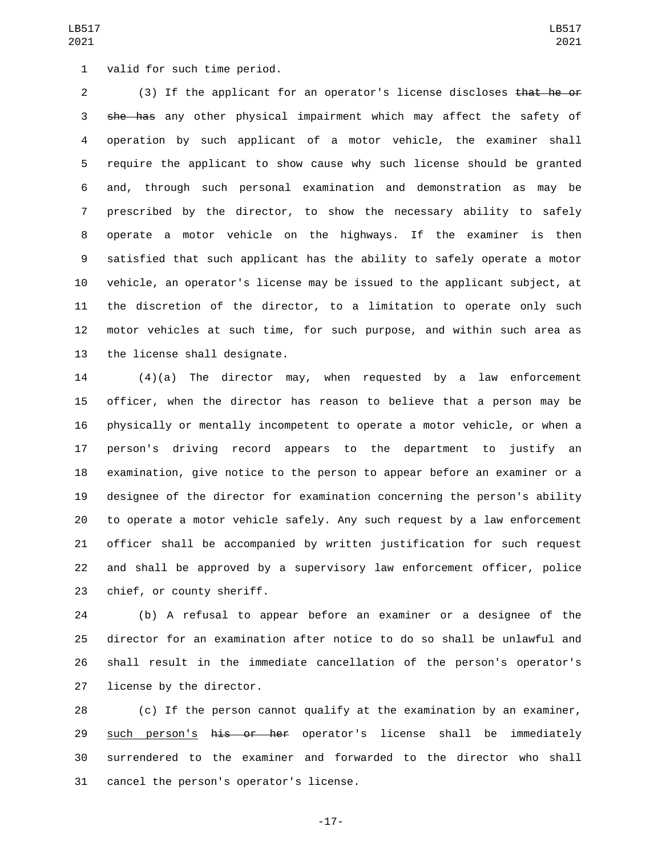1 valid for such time period.

 (3) If the applicant for an operator's license discloses that he or 3 she has any other physical impairment which may affect the safety of operation by such applicant of a motor vehicle, the examiner shall require the applicant to show cause why such license should be granted and, through such personal examination and demonstration as may be prescribed by the director, to show the necessary ability to safely operate a motor vehicle on the highways. If the examiner is then satisfied that such applicant has the ability to safely operate a motor vehicle, an operator's license may be issued to the applicant subject, at the discretion of the director, to a limitation to operate only such motor vehicles at such time, for such purpose, and within such area as 13 the license shall designate.

 (4)(a) The director may, when requested by a law enforcement officer, when the director has reason to believe that a person may be physically or mentally incompetent to operate a motor vehicle, or when a person's driving record appears to the department to justify an examination, give notice to the person to appear before an examiner or a designee of the director for examination concerning the person's ability to operate a motor vehicle safely. Any such request by a law enforcement officer shall be accompanied by written justification for such request and shall be approved by a supervisory law enforcement officer, police 23 chief, or county sheriff.

 (b) A refusal to appear before an examiner or a designee of the director for an examination after notice to do so shall be unlawful and shall result in the immediate cancellation of the person's operator's 27 license by the director.

 (c) If the person cannot qualify at the examination by an examiner, 29 such person's his or her operator's license shall be immediately surrendered to the examiner and forwarded to the director who shall 31 cancel the person's operator's license.

-17-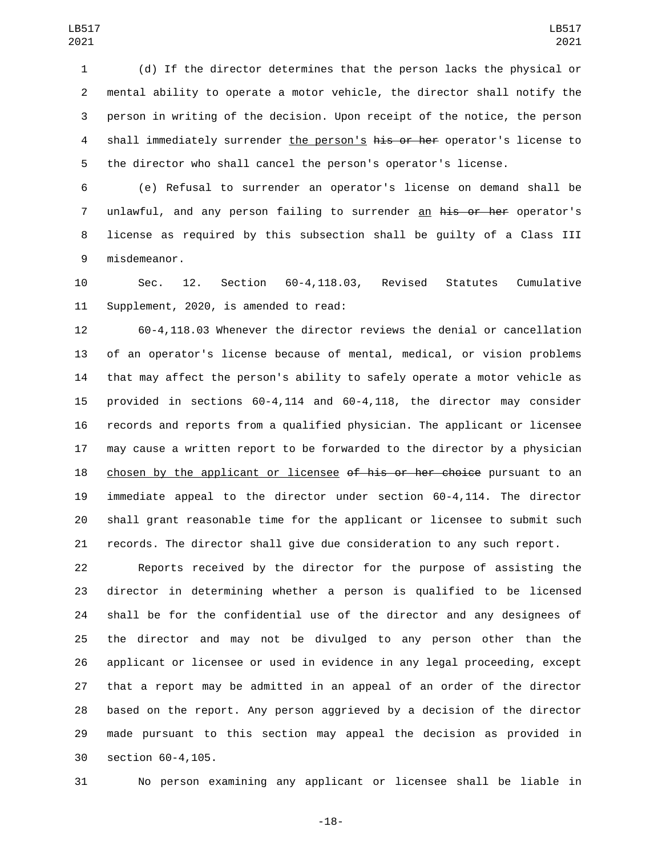(d) If the director determines that the person lacks the physical or mental ability to operate a motor vehicle, the director shall notify the person in writing of the decision. Upon receipt of the notice, the person 4 shall immediately surrender the person's his or her operator's license to the director who shall cancel the person's operator's license.

 (e) Refusal to surrender an operator's license on demand shall be 7 unlawful, and any person failing to surrender an his or her operator's license as required by this subsection shall be guilty of a Class III 9 misdemeanor.

 Sec. 12. Section 60-4,118.03, Revised Statutes Cumulative 11 Supplement, 2020, is amended to read:

 60-4,118.03 Whenever the director reviews the denial or cancellation of an operator's license because of mental, medical, or vision problems that may affect the person's ability to safely operate a motor vehicle as provided in sections 60-4,114 and 60-4,118, the director may consider records and reports from a qualified physician. The applicant or licensee may cause a written report to be forwarded to the director by a physician 18 chosen by the applicant or licensee of his or her choice pursuant to an immediate appeal to the director under section 60-4,114. The director shall grant reasonable time for the applicant or licensee to submit such records. The director shall give due consideration to any such report.

 Reports received by the director for the purpose of assisting the director in determining whether a person is qualified to be licensed shall be for the confidential use of the director and any designees of the director and may not be divulged to any person other than the applicant or licensee or used in evidence in any legal proceeding, except that a report may be admitted in an appeal of an order of the director based on the report. Any person aggrieved by a decision of the director made pursuant to this section may appeal the decision as provided in 30 section 60-4,105.

No person examining any applicant or licensee shall be liable in

-18-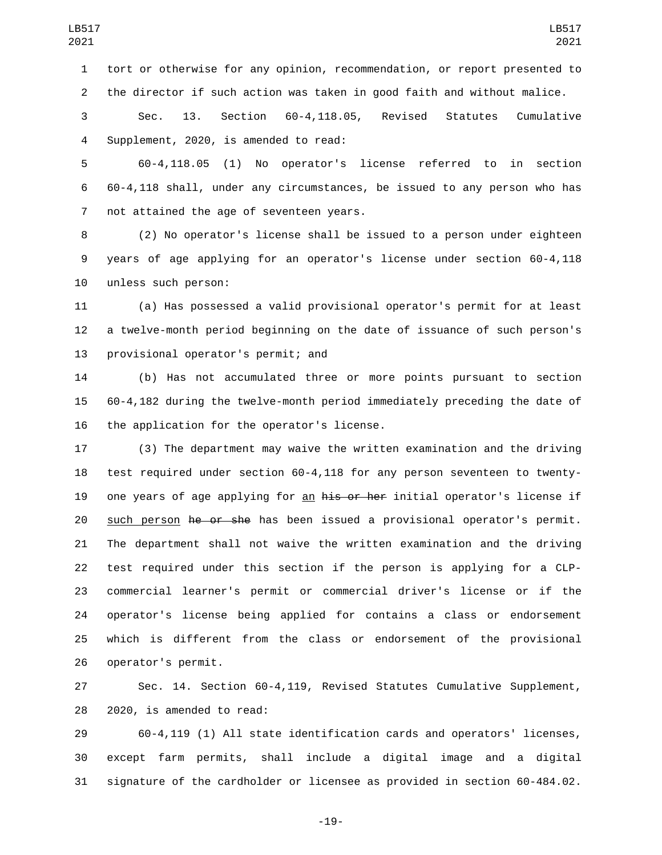Sec. 13. Section 60-4,118.05, Revised Statutes Cumulative 4 Supplement, 2020, is amended to read:

the director if such action was taken in good faith and without malice.

 60-4,118.05 (1) No operator's license referred to in section 60-4,118 shall, under any circumstances, be issued to any person who has 7 not attained the age of seventeen years.

 (2) No operator's license shall be issued to a person under eighteen years of age applying for an operator's license under section 60-4,118 10 unless such person:

 (a) Has possessed a valid provisional operator's permit for at least a twelve-month period beginning on the date of issuance of such person's 13 provisional operator's permit; and

 (b) Has not accumulated three or more points pursuant to section 60-4,182 during the twelve-month period immediately preceding the date of 16 the application for the operator's license.

 (3) The department may waive the written examination and the driving test required under section 60-4,118 for any person seventeen to twenty-19 one years of age applying for an his or her initial operator's license if 20 such person <del>he or she</del> has been issued a provisional operator's permit. The department shall not waive the written examination and the driving test required under this section if the person is applying for a CLP- commercial learner's permit or commercial driver's license or if the operator's license being applied for contains a class or endorsement which is different from the class or endorsement of the provisional 26 operator's permit.

 Sec. 14. Section 60-4,119, Revised Statutes Cumulative Supplement, 28 2020, is amended to read:

 60-4,119 (1) All state identification cards and operators' licenses, except farm permits, shall include a digital image and a digital signature of the cardholder or licensee as provided in section 60-484.02.

-19-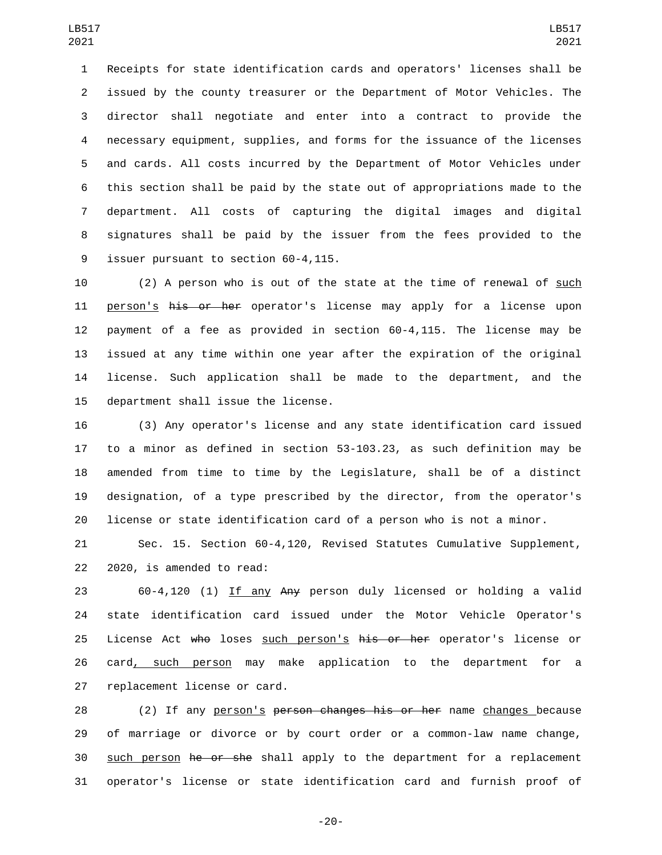Receipts for state identification cards and operators' licenses shall be issued by the county treasurer or the Department of Motor Vehicles. The director shall negotiate and enter into a contract to provide the necessary equipment, supplies, and forms for the issuance of the licenses and cards. All costs incurred by the Department of Motor Vehicles under this section shall be paid by the state out of appropriations made to the department. All costs of capturing the digital images and digital signatures shall be paid by the issuer from the fees provided to the 9 issuer pursuant to section 60-4,115.

 (2) A person who is out of the state at the time of renewal of such 11 person's his or her operator's license may apply for a license upon payment of a fee as provided in section 60-4,115. The license may be issued at any time within one year after the expiration of the original license. Such application shall be made to the department, and the 15 department shall issue the license.

 (3) Any operator's license and any state identification card issued to a minor as defined in section 53-103.23, as such definition may be amended from time to time by the Legislature, shall be of a distinct designation, of a type prescribed by the director, from the operator's license or state identification card of a person who is not a minor.

 Sec. 15. Section 60-4,120, Revised Statutes Cumulative Supplement, 22 2020, is amended to read:

 60-4,120 (1) If any Any person duly licensed or holding a valid state identification card issued under the Motor Vehicle Operator's 25 License Act who loses such person's his or her operator's license or 26 card, such person may make application to the department for a 27 replacement license or card.

28 (2) If any person's person changes his or her name changes because of marriage or divorce or by court order or a common-law name change, 30 such person he or she shall apply to the department for a replacement operator's license or state identification card and furnish proof of

-20-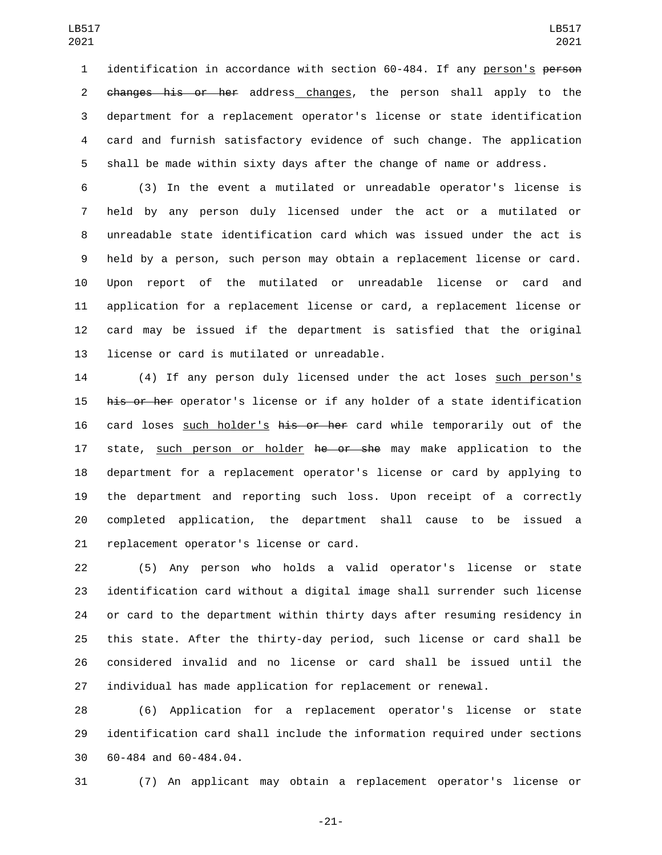identification in accordance with section 60-484. If any person's person changes his or her address changes, the person shall apply to the department for a replacement operator's license or state identification card and furnish satisfactory evidence of such change. The application shall be made within sixty days after the change of name or address.

 (3) In the event a mutilated or unreadable operator's license is held by any person duly licensed under the act or a mutilated or unreadable state identification card which was issued under the act is held by a person, such person may obtain a replacement license or card. Upon report of the mutilated or unreadable license or card and application for a replacement license or card, a replacement license or card may be issued if the department is satisfied that the original 13 license or card is mutilated or unreadable.

 (4) If any person duly licensed under the act loses such person's 15 his or her operator's license or if any holder of a state identification 16 card loses such holder's his or her card while temporarily out of the 17 state, such person or holder he or she may make application to the department for a replacement operator's license or card by applying to the department and reporting such loss. Upon receipt of a correctly completed application, the department shall cause to be issued a 21 replacement operator's license or card.

 (5) Any person who holds a valid operator's license or state identification card without a digital image shall surrender such license or card to the department within thirty days after resuming residency in this state. After the thirty-day period, such license or card shall be considered invalid and no license or card shall be issued until the individual has made application for replacement or renewal.

 (6) Application for a replacement operator's license or state identification card shall include the information required under sections 30 60-484 and 60-484.04.

(7) An applicant may obtain a replacement operator's license or

-21-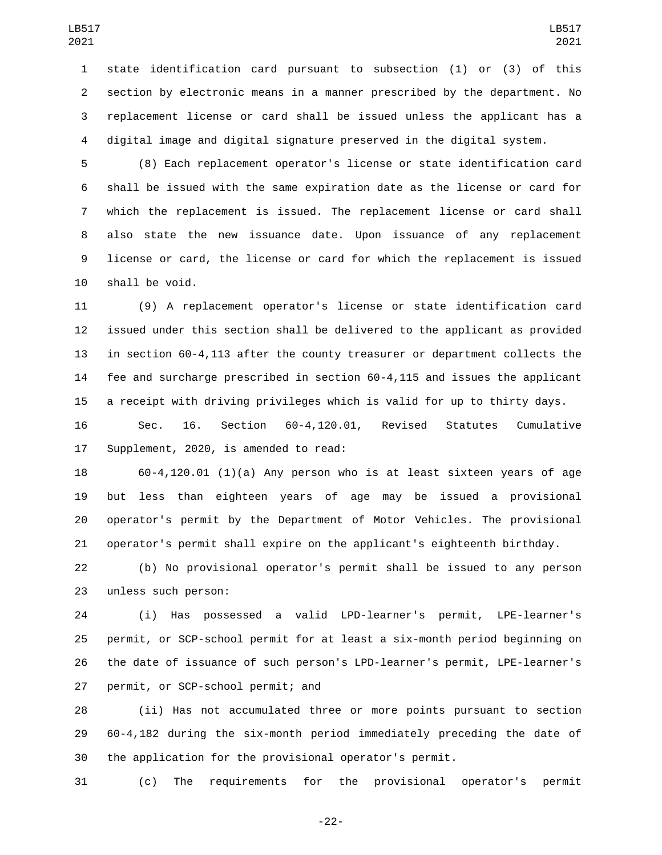state identification card pursuant to subsection (1) or (3) of this section by electronic means in a manner prescribed by the department. No replacement license or card shall be issued unless the applicant has a digital image and digital signature preserved in the digital system.

 (8) Each replacement operator's license or state identification card shall be issued with the same expiration date as the license or card for which the replacement is issued. The replacement license or card shall also state the new issuance date. Upon issuance of any replacement license or card, the license or card for which the replacement is issued 10 shall be void.

 (9) A replacement operator's license or state identification card issued under this section shall be delivered to the applicant as provided in section 60-4,113 after the county treasurer or department collects the fee and surcharge prescribed in section 60-4,115 and issues the applicant a receipt with driving privileges which is valid for up to thirty days.

 Sec. 16. Section 60-4,120.01, Revised Statutes Cumulative 17 Supplement, 2020, is amended to read:

 60-4,120.01 (1)(a) Any person who is at least sixteen years of age but less than eighteen years of age may be issued a provisional operator's permit by the Department of Motor Vehicles. The provisional operator's permit shall expire on the applicant's eighteenth birthday.

 (b) No provisional operator's permit shall be issued to any person 23 unless such person:

 (i) Has possessed a valid LPD-learner's permit, LPE-learner's permit, or SCP-school permit for at least a six-month period beginning on the date of issuance of such person's LPD-learner's permit, LPE-learner's 27 permit, or SCP-school permit; and

 (ii) Has not accumulated three or more points pursuant to section 60-4,182 during the six-month period immediately preceding the date of the application for the provisional operator's permit.

(c) The requirements for the provisional operator's permit

-22-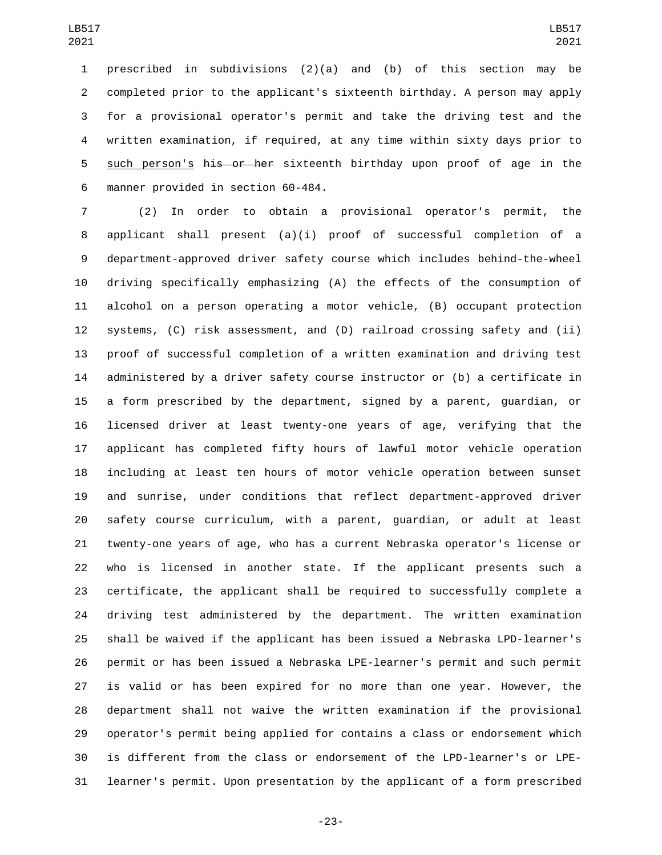prescribed in subdivisions (2)(a) and (b) of this section may be completed prior to the applicant's sixteenth birthday. A person may apply for a provisional operator's permit and take the driving test and the written examination, if required, at any time within sixty days prior to 5 such person's his or her sixteenth birthday upon proof of age in the 6 manner provided in section 60-484.

 (2) In order to obtain a provisional operator's permit, the applicant shall present (a)(i) proof of successful completion of a department-approved driver safety course which includes behind-the-wheel driving specifically emphasizing (A) the effects of the consumption of alcohol on a person operating a motor vehicle, (B) occupant protection systems, (C) risk assessment, and (D) railroad crossing safety and (ii) proof of successful completion of a written examination and driving test administered by a driver safety course instructor or (b) a certificate in a form prescribed by the department, signed by a parent, guardian, or licensed driver at least twenty-one years of age, verifying that the applicant has completed fifty hours of lawful motor vehicle operation including at least ten hours of motor vehicle operation between sunset and sunrise, under conditions that reflect department-approved driver safety course curriculum, with a parent, guardian, or adult at least twenty-one years of age, who has a current Nebraska operator's license or who is licensed in another state. If the applicant presents such a certificate, the applicant shall be required to successfully complete a driving test administered by the department. The written examination shall be waived if the applicant has been issued a Nebraska LPD-learner's permit or has been issued a Nebraska LPE-learner's permit and such permit is valid or has been expired for no more than one year. However, the department shall not waive the written examination if the provisional operator's permit being applied for contains a class or endorsement which is different from the class or endorsement of the LPD-learner's or LPE-learner's permit. Upon presentation by the applicant of a form prescribed

-23-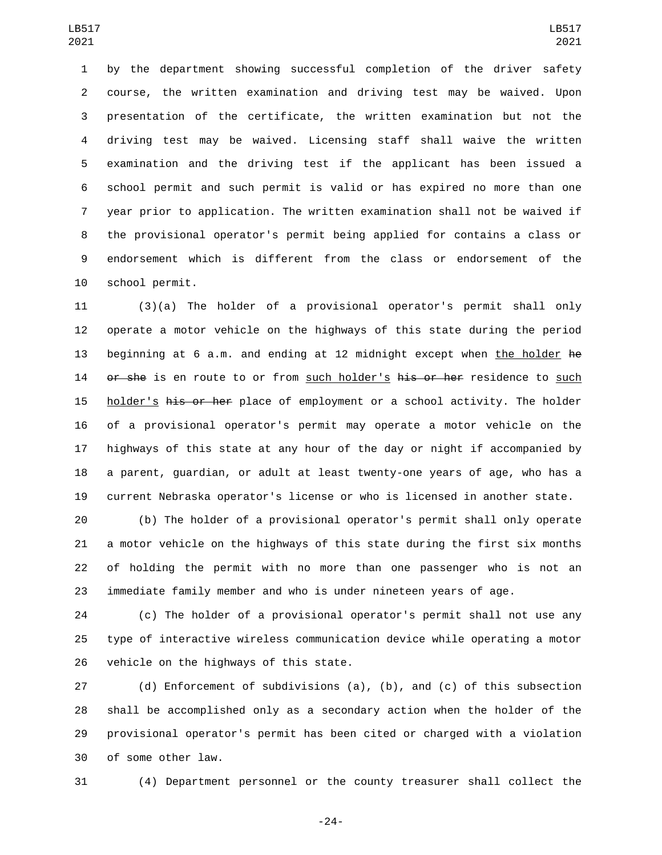by the department showing successful completion of the driver safety course, the written examination and driving test may be waived. Upon presentation of the certificate, the written examination but not the driving test may be waived. Licensing staff shall waive the written examination and the driving test if the applicant has been issued a school permit and such permit is valid or has expired no more than one year prior to application. The written examination shall not be waived if the provisional operator's permit being applied for contains a class or endorsement which is different from the class or endorsement of the 10 school permit.

 (3)(a) The holder of a provisional operator's permit shall only operate a motor vehicle on the highways of this state during the period 13 beginning at 6 a.m. and ending at 12 midnight except when the holder he 14 or she is en route to or from such holder's his or her residence to such 15 holder's his or her place of employment or a school activity. The holder of a provisional operator's permit may operate a motor vehicle on the highways of this state at any hour of the day or night if accompanied by a parent, guardian, or adult at least twenty-one years of age, who has a current Nebraska operator's license or who is licensed in another state.

 (b) The holder of a provisional operator's permit shall only operate a motor vehicle on the highways of this state during the first six months of holding the permit with no more than one passenger who is not an immediate family member and who is under nineteen years of age.

 (c) The holder of a provisional operator's permit shall not use any type of interactive wireless communication device while operating a motor 26 vehicle on the highways of this state.

 (d) Enforcement of subdivisions (a), (b), and (c) of this subsection shall be accomplished only as a secondary action when the holder of the provisional operator's permit has been cited or charged with a violation 30 of some other law.

(4) Department personnel or the county treasurer shall collect the

-24-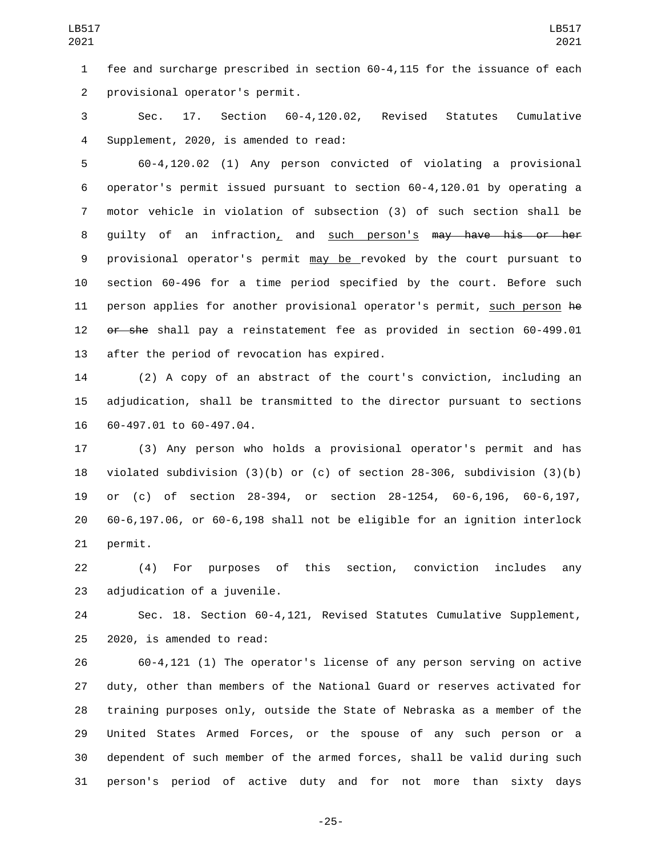fee and surcharge prescribed in section 60-4,115 for the issuance of each 2 provisional operator's permit.

 Sec. 17. Section 60-4,120.02, Revised Statutes Cumulative 4 Supplement, 2020, is amended to read:

 60-4,120.02 (1) Any person convicted of violating a provisional operator's permit issued pursuant to section 60-4,120.01 by operating a motor vehicle in violation of subsection (3) of such section shall be guilty of an infraction, and such person's may have his or her provisional operator's permit may be revoked by the court pursuant to section 60-496 for a time period specified by the court. Before such person applies for another provisional operator's permit, such person he or she shall pay a reinstatement fee as provided in section 60-499.01 13 after the period of revocation has expired.

 (2) A copy of an abstract of the court's conviction, including an adjudication, shall be transmitted to the director pursuant to sections 16 60-497.01 to 60-497.04.

 (3) Any person who holds a provisional operator's permit and has violated subdivision (3)(b) or (c) of section 28-306, subdivision (3)(b) or (c) of section 28-394, or section 28-1254, 60-6,196, 60-6,197, 60-6,197.06, or 60-6,198 shall not be eligible for an ignition interlock 21 permit.

 (4) For purposes of this section, conviction includes any 23 adjudication of a juvenile.

 Sec. 18. Section 60-4,121, Revised Statutes Cumulative Supplement,  $2020$ , is amended to read:

 60-4,121 (1) The operator's license of any person serving on active duty, other than members of the National Guard or reserves activated for training purposes only, outside the State of Nebraska as a member of the United States Armed Forces, or the spouse of any such person or a dependent of such member of the armed forces, shall be valid during such person's period of active duty and for not more than sixty days

-25-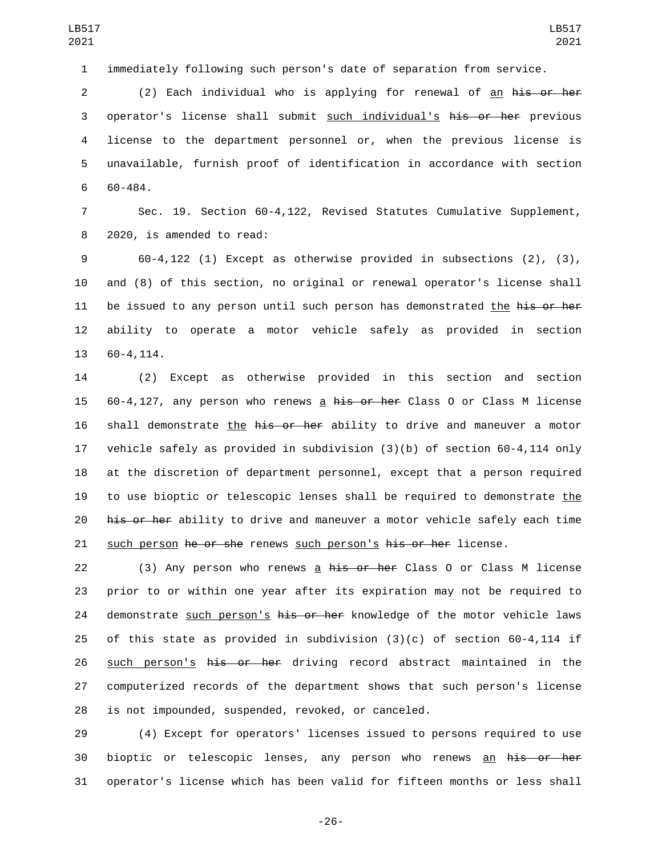1 immediately following such person's date of separation from service.

2 (2) Each individual who is applying for renewal of an his or her 3 operator's license shall submit such individual's his or her previous 4 license to the department personnel or, when the previous license is 5 unavailable, furnish proof of identification in accordance with section 60-484.

7 Sec. 19. Section 60-4,122, Revised Statutes Cumulative Supplement, 8 2020, is amended to read:

9 60-4,122 (1) Except as otherwise provided in subsections (2), (3), 10 and (8) of this section, no original or renewal operator's license shall 11 be issued to any person until such person has demonstrated the his or her 12 ability to operate a motor vehicle safely as provided in section 13 60-4,114.

14 (2) Except as otherwise provided in this section and section 15 60-4,127, any person who renews a his or her Class 0 or Class M license 16 shall demonstrate the his or her ability to drive and maneuver a motor 17 vehicle safely as provided in subdivision (3)(b) of section 60-4,114 only 18 at the discretion of department personnel, except that a person required 19 to use bioptic or telescopic lenses shall be required to demonstrate the 20 his or her ability to drive and maneuver a motor vehicle safely each time 21 such person he or she renews such person's his or her license.

22 (3) Any person who renews a his or her Class 0 or Class M license 23 prior to or within one year after its expiration may not be required to 24 demonstrate such person's his or her knowledge of the motor vehicle laws 25 of this state as provided in subdivision (3)(c) of section 60-4,114 if 26 such person's his or her driving record abstract maintained in the 27 computerized records of the department shows that such person's license 28 is not impounded, suspended, revoked, or canceled.

29 (4) Except for operators' licenses issued to persons required to use 30 bioptic or telescopic lenses, any person who renews an his or her 31 operator's license which has been valid for fifteen months or less shall

-26-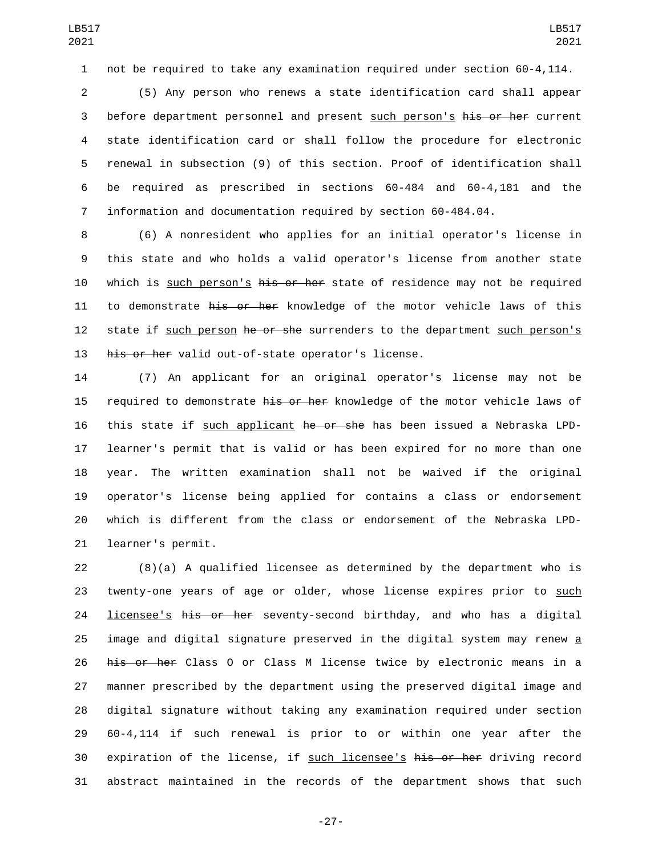not be required to take any examination required under section 60-4,114.

 (5) Any person who renews a state identification card shall appear 3 before department personnel and present such person's his or her current state identification card or shall follow the procedure for electronic renewal in subsection (9) of this section. Proof of identification shall be required as prescribed in sections 60-484 and 60-4,181 and the information and documentation required by section 60-484.04.

 (6) A nonresident who applies for an initial operator's license in this state and who holds a valid operator's license from another state 10 which is such person's his or her state of residence may not be required 11 to demonstrate his or her knowledge of the motor vehicle laws of this 12 state if such person he or she surrenders to the department such person's 13 his or her valid out-of-state operator's license.

 (7) An applicant for an original operator's license may not be 15 required to demonstrate his or her knowledge of the motor vehicle laws of 16 this state if such applicant he or she has been issued a Nebraska LPD- learner's permit that is valid or has been expired for no more than one year. The written examination shall not be waived if the original operator's license being applied for contains a class or endorsement which is different from the class or endorsement of the Nebraska LPD-21 learner's permit.

 (8)(a) A qualified licensee as determined by the department who is twenty-one years of age or older, whose license expires prior to such **licensee's his or her** seventy-second birthday, and who has a digital image and digital signature preserved in the digital system may renew a 26 his or her Class 0 or Class M license twice by electronic means in a manner prescribed by the department using the preserved digital image and digital signature without taking any examination required under section 60-4,114 if such renewal is prior to or within one year after the expiration of the license, if such licensee's his or her driving record abstract maintained in the records of the department shows that such

-27-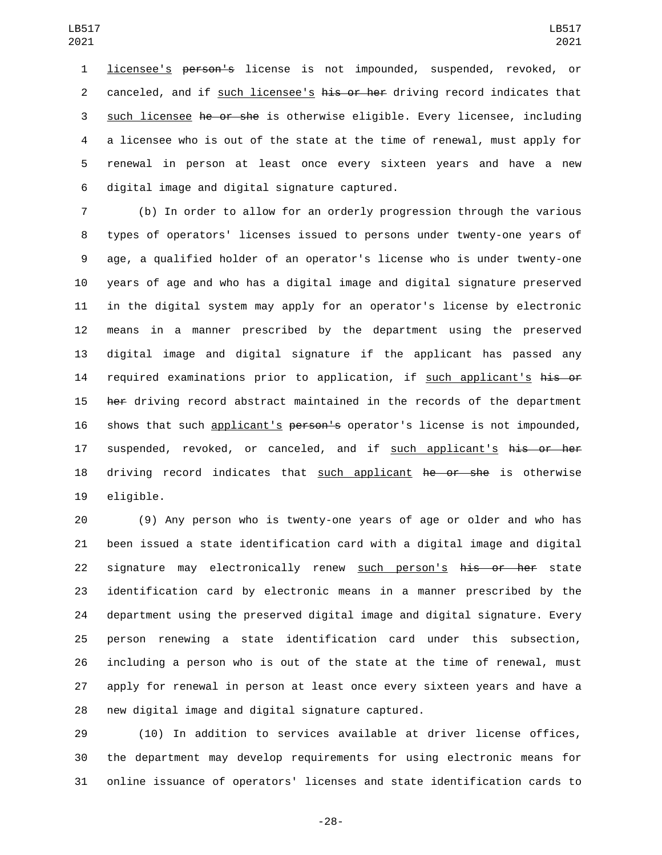licensee's person's license is not impounded, suspended, revoked, or 2 canceled, and if such licensee's his or her driving record indicates that such licensee he or she is otherwise eligible. Every licensee, including a licensee who is out of the state at the time of renewal, must apply for renewal in person at least once every sixteen years and have a new digital image and digital signature captured.6

 (b) In order to allow for an orderly progression through the various types of operators' licenses issued to persons under twenty-one years of age, a qualified holder of an operator's license who is under twenty-one years of age and who has a digital image and digital signature preserved in the digital system may apply for an operator's license by electronic means in a manner prescribed by the department using the preserved digital image and digital signature if the applicant has passed any 14 required examinations prior to application, if such applicant's his or 15 her driving record abstract maintained in the records of the department 16 shows that such applicant's person's operator's license is not impounded, 17 suspended, revoked, or canceled, and if such applicant's his or her 18 driving record indicates that such applicant he or she is otherwise 19 eligible.

 (9) Any person who is twenty-one years of age or older and who has been issued a state identification card with a digital image and digital 22 signature may electronically renew such person's his or her state identification card by electronic means in a manner prescribed by the department using the preserved digital image and digital signature. Every person renewing a state identification card under this subsection, including a person who is out of the state at the time of renewal, must apply for renewal in person at least once every sixteen years and have a 28 new digital image and digital signature captured.

 (10) In addition to services available at driver license offices, the department may develop requirements for using electronic means for online issuance of operators' licenses and state identification cards to

-28-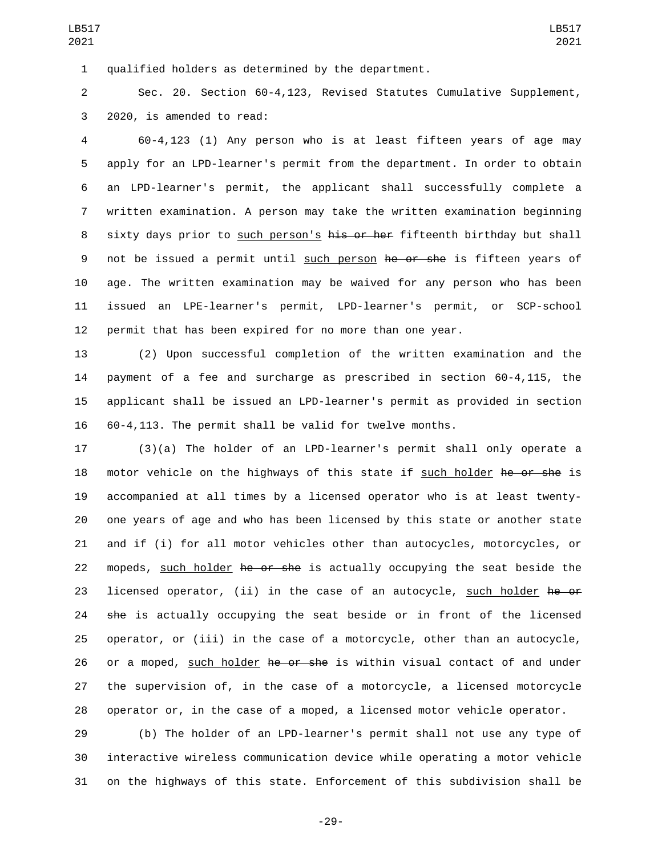1 qualified holders as determined by the department.

 Sec. 20. Section 60-4,123, Revised Statutes Cumulative Supplement, 3 2020, is amended to read:

 60-4,123 (1) Any person who is at least fifteen years of age may apply for an LPD-learner's permit from the department. In order to obtain an LPD-learner's permit, the applicant shall successfully complete a written examination. A person may take the written examination beginning 8 sixty days prior to such person's his or her fifteenth birthday but shall 9 not be issued a permit until such person he or she is fifteen years of age. The written examination may be waived for any person who has been issued an LPE-learner's permit, LPD-learner's permit, or SCP-school permit that has been expired for no more than one year.

 (2) Upon successful completion of the written examination and the payment of a fee and surcharge as prescribed in section 60-4,115, the applicant shall be issued an LPD-learner's permit as provided in section 60-4,113. The permit shall be valid for twelve months.

 (3)(a) The holder of an LPD-learner's permit shall only operate a 18 motor vehicle on the highways of this state if such holder he or she is accompanied at all times by a licensed operator who is at least twenty- one years of age and who has been licensed by this state or another state and if (i) for all motor vehicles other than autocycles, motorcycles, or 22 mopeds, such holder he or she is actually occupying the seat beside the 23 licensed operator, (ii) in the case of an autocycle, such holder he or 24 she is actually occupying the seat beside or in front of the licensed operator, or (iii) in the case of a motorcycle, other than an autocycle, 26 or a moped, such holder he or she is within visual contact of and under the supervision of, in the case of a motorcycle, a licensed motorcycle operator or, in the case of a moped, a licensed motor vehicle operator.

 (b) The holder of an LPD-learner's permit shall not use any type of interactive wireless communication device while operating a motor vehicle on the highways of this state. Enforcement of this subdivision shall be

-29-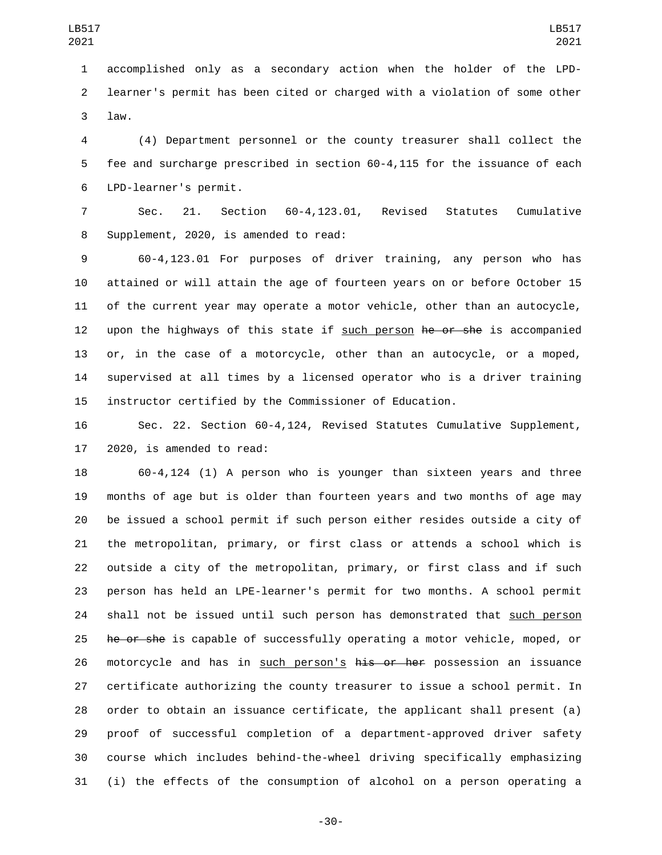accomplished only as a secondary action when the holder of the LPD- learner's permit has been cited or charged with a violation of some other 3 law.

 (4) Department personnel or the county treasurer shall collect the fee and surcharge prescribed in section 60-4,115 for the issuance of each LPD-learner's permit.6

 Sec. 21. Section 60-4,123.01, Revised Statutes Cumulative 8 Supplement, 2020, is amended to read:

 60-4,123.01 For purposes of driver training, any person who has attained or will attain the age of fourteen years on or before October 15 of the current year may operate a motor vehicle, other than an autocycle, 12 upon the highways of this state if such person he or she is accompanied or, in the case of a motorcycle, other than an autocycle, or a moped, supervised at all times by a licensed operator who is a driver training instructor certified by the Commissioner of Education.

 Sec. 22. Section 60-4,124, Revised Statutes Cumulative Supplement, 17 2020, is amended to read:

 60-4,124 (1) A person who is younger than sixteen years and three months of age but is older than fourteen years and two months of age may be issued a school permit if such person either resides outside a city of the metropolitan, primary, or first class or attends a school which is outside a city of the metropolitan, primary, or first class and if such person has held an LPE-learner's permit for two months. A school permit shall not be issued until such person has demonstrated that such person 25 he or she is capable of successfully operating a motor vehicle, moped, or 26 motorcycle and has in such person's his or her possession an issuance certificate authorizing the county treasurer to issue a school permit. In order to obtain an issuance certificate, the applicant shall present (a) proof of successful completion of a department-approved driver safety course which includes behind-the-wheel driving specifically emphasizing (i) the effects of the consumption of alcohol on a person operating a

-30-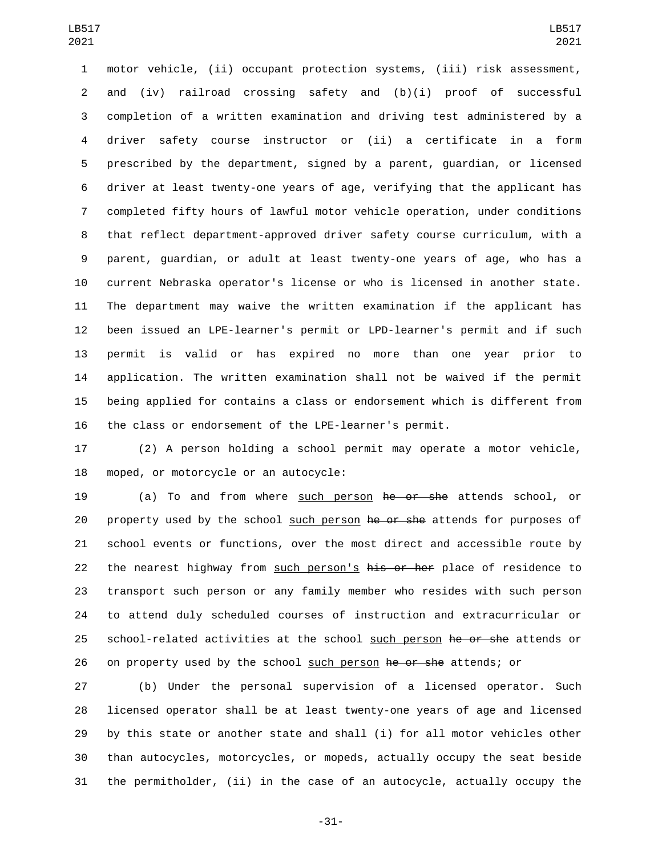motor vehicle, (ii) occupant protection systems, (iii) risk assessment, and (iv) railroad crossing safety and (b)(i) proof of successful completion of a written examination and driving test administered by a driver safety course instructor or (ii) a certificate in a form prescribed by the department, signed by a parent, guardian, or licensed driver at least twenty-one years of age, verifying that the applicant has completed fifty hours of lawful motor vehicle operation, under conditions that reflect department-approved driver safety course curriculum, with a parent, guardian, or adult at least twenty-one years of age, who has a current Nebraska operator's license or who is licensed in another state. The department may waive the written examination if the applicant has been issued an LPE-learner's permit or LPD-learner's permit and if such permit is valid or has expired no more than one year prior to application. The written examination shall not be waived if the permit being applied for contains a class or endorsement which is different from the class or endorsement of the LPE-learner's permit.

 (2) A person holding a school permit may operate a motor vehicle, 18 moped, or motorcycle or an autocycle:

 (a) To and from where such person he or she attends school, or 20 property used by the school such person he or she attends for purposes of school events or functions, over the most direct and accessible route by 22 the nearest highway from such person's his or her place of residence to transport such person or any family member who resides with such person to attend duly scheduled courses of instruction and extracurricular or 25 school-related activities at the school such person he or she attends or 26 on property used by the school such person he or she attends; or

 (b) Under the personal supervision of a licensed operator. Such licensed operator shall be at least twenty-one years of age and licensed by this state or another state and shall (i) for all motor vehicles other than autocycles, motorcycles, or mopeds, actually occupy the seat beside the permitholder, (ii) in the case of an autocycle, actually occupy the

-31-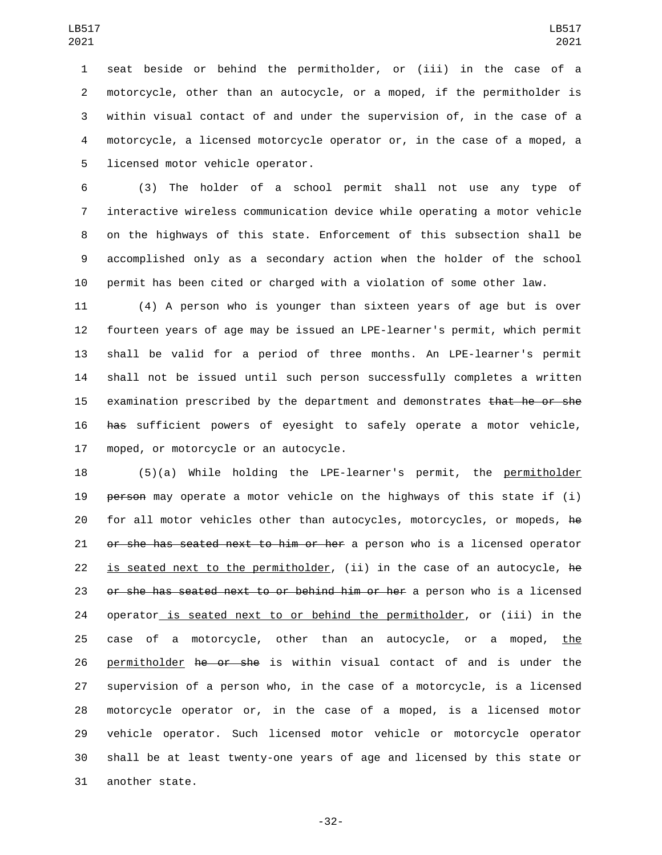seat beside or behind the permitholder, or (iii) in the case of a motorcycle, other than an autocycle, or a moped, if the permitholder is within visual contact of and under the supervision of, in the case of a motorcycle, a licensed motorcycle operator or, in the case of a moped, a 5 licensed motor vehicle operator.

 (3) The holder of a school permit shall not use any type of interactive wireless communication device while operating a motor vehicle on the highways of this state. Enforcement of this subsection shall be accomplished only as a secondary action when the holder of the school permit has been cited or charged with a violation of some other law.

 (4) A person who is younger than sixteen years of age but is over fourteen years of age may be issued an LPE-learner's permit, which permit shall be valid for a period of three months. An LPE-learner's permit shall not be issued until such person successfully completes a written 15 examination prescribed by the department and demonstrates that he or she has sufficient powers of eyesight to safely operate a motor vehicle, 17 moped, or motorcycle or an autocycle.

 (5)(a) While holding the LPE-learner's permit, the permitholder 19 person may operate a motor vehicle on the highways of this state if (i) for all motor vehicles other than autocycles, motorcycles, or mopeds, he 21 or she has seated next to him or her a person who is a licensed operator 22 is seated next to the permitholder, (ii) in the case of an autocycle, he or she has seated next to or behind him or her a person who is a licensed 24 operator is seated next to or behind the permitholder, or (iii) in the 25 case of a motorcycle, other than an autocycle, or a moped, the 26 permitholder he or she is within visual contact of and is under the supervision of a person who, in the case of a motorcycle, is a licensed motorcycle operator or, in the case of a moped, is a licensed motor vehicle operator. Such licensed motor vehicle or motorcycle operator shall be at least twenty-one years of age and licensed by this state or 31 another state.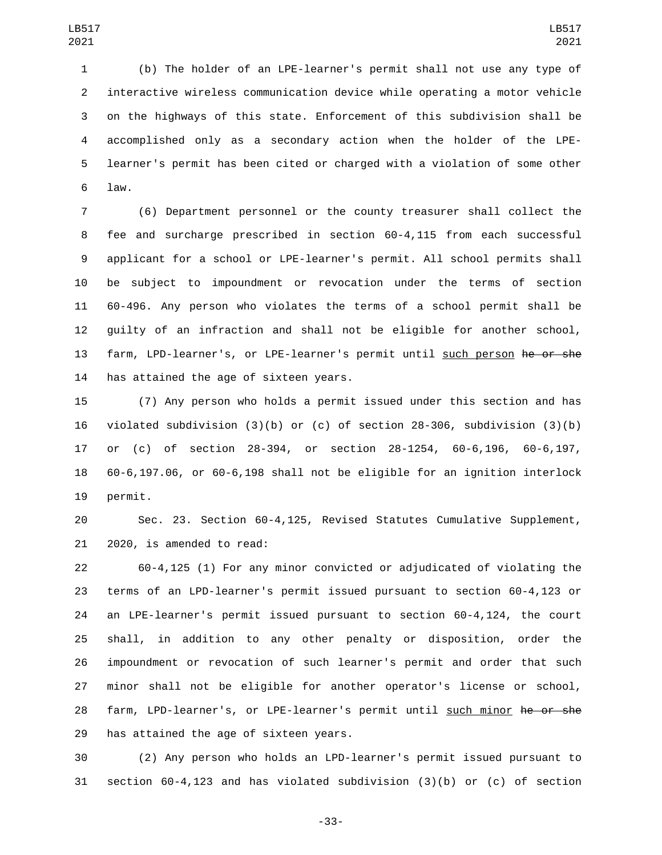(b) The holder of an LPE-learner's permit shall not use any type of interactive wireless communication device while operating a motor vehicle on the highways of this state. Enforcement of this subdivision shall be accomplished only as a secondary action when the holder of the LPE- learner's permit has been cited or charged with a violation of some other law.6

 (6) Department personnel or the county treasurer shall collect the fee and surcharge prescribed in section 60-4,115 from each successful applicant for a school or LPE-learner's permit. All school permits shall be subject to impoundment or revocation under the terms of section 60-496. Any person who violates the terms of a school permit shall be guilty of an infraction and shall not be eligible for another school, farm, LPD-learner's, or LPE-learner's permit until such person he or she 14 has attained the age of sixteen years.

 (7) Any person who holds a permit issued under this section and has violated subdivision (3)(b) or (c) of section 28-306, subdivision (3)(b) or (c) of section 28-394, or section 28-1254, 60-6,196, 60-6,197, 60-6,197.06, or 60-6,198 shall not be eligible for an ignition interlock 19 permit.

 Sec. 23. Section 60-4,125, Revised Statutes Cumulative Supplement, 21 2020, is amended to read:

 60-4,125 (1) For any minor convicted or adjudicated of violating the terms of an LPD-learner's permit issued pursuant to section 60-4,123 or an LPE-learner's permit issued pursuant to section 60-4,124, the court shall, in addition to any other penalty or disposition, order the impoundment or revocation of such learner's permit and order that such minor shall not be eligible for another operator's license or school, 28 farm, LPD-learner's, or LPE-learner's permit until such minor he or she 29 has attained the age of sixteen years.

 (2) Any person who holds an LPD-learner's permit issued pursuant to section 60-4,123 and has violated subdivision (3)(b) or (c) of section

-33-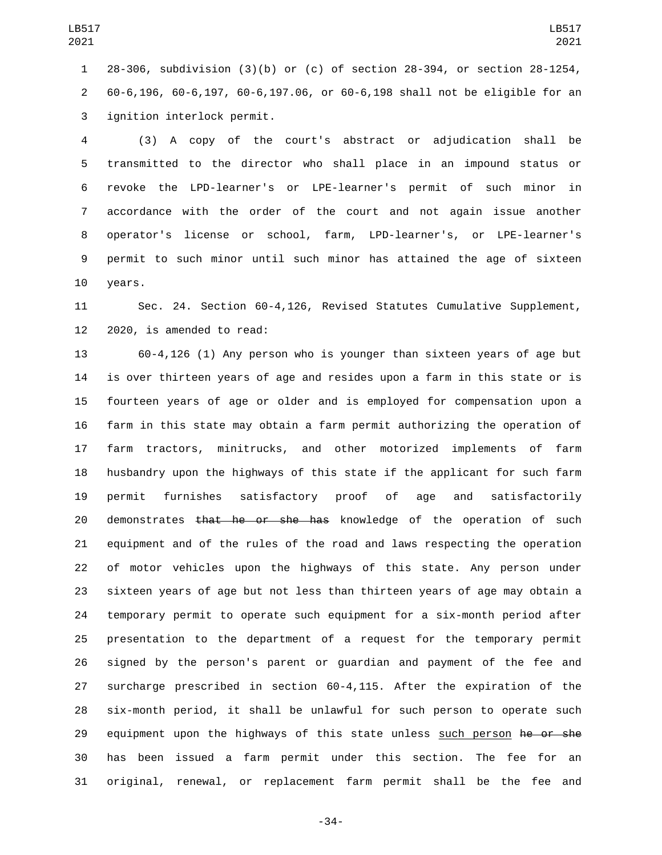28-306, subdivision (3)(b) or (c) of section 28-394, or section 28-1254, 60-6,196, 60-6,197, 60-6,197.06, or 60-6,198 shall not be eligible for an 3 ignition interlock permit.

 (3) A copy of the court's abstract or adjudication shall be transmitted to the director who shall place in an impound status or revoke the LPD-learner's or LPE-learner's permit of such minor in accordance with the order of the court and not again issue another operator's license or school, farm, LPD-learner's, or LPE-learner's permit to such minor until such minor has attained the age of sixteen 10 years.

 Sec. 24. Section 60-4,126, Revised Statutes Cumulative Supplement, 2020, is amended to read:

 60-4,126 (1) Any person who is younger than sixteen years of age but is over thirteen years of age and resides upon a farm in this state or is fourteen years of age or older and is employed for compensation upon a farm in this state may obtain a farm permit authorizing the operation of farm tractors, minitrucks, and other motorized implements of farm husbandry upon the highways of this state if the applicant for such farm permit furnishes satisfactory proof of age and satisfactorily 20 demonstrates that he or she has knowledge of the operation of such equipment and of the rules of the road and laws respecting the operation of motor vehicles upon the highways of this state. Any person under sixteen years of age but not less than thirteen years of age may obtain a temporary permit to operate such equipment for a six-month period after presentation to the department of a request for the temporary permit signed by the person's parent or guardian and payment of the fee and surcharge prescribed in section 60-4,115. After the expiration of the six-month period, it shall be unlawful for such person to operate such 29 equipment upon the highways of this state unless such person he or she has been issued a farm permit under this section. The fee for an original, renewal, or replacement farm permit shall be the fee and

-34-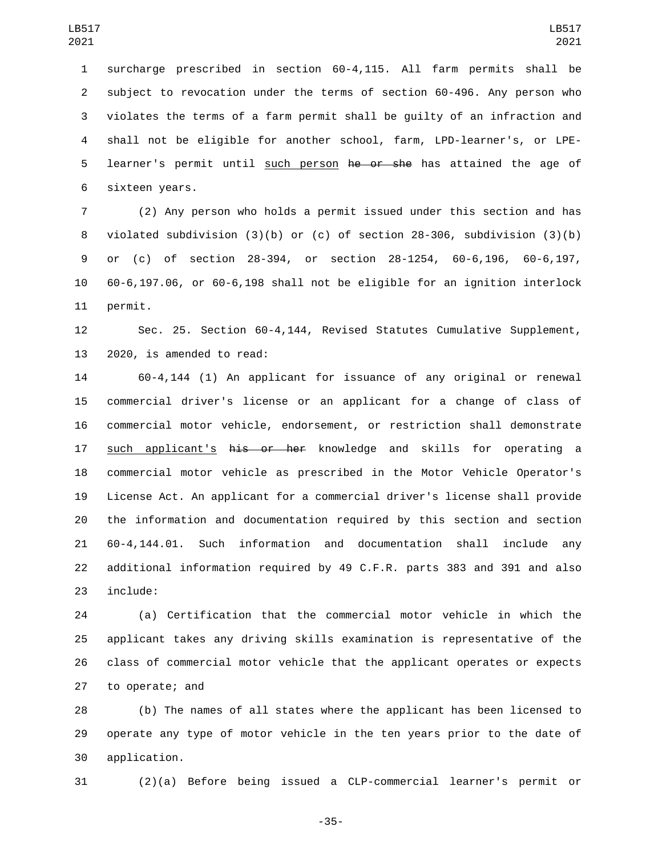surcharge prescribed in section 60-4,115. All farm permits shall be subject to revocation under the terms of section 60-496. Any person who violates the terms of a farm permit shall be guilty of an infraction and shall not be eligible for another school, farm, LPD-learner's, or LPE-5 learner's permit until such person he or she has attained the age of 6 sixteen years.

 (2) Any person who holds a permit issued under this section and has violated subdivision (3)(b) or (c) of section 28-306, subdivision (3)(b) or (c) of section 28-394, or section 28-1254, 60-6,196, 60-6,197, 60-6,197.06, or 60-6,198 shall not be eligible for an ignition interlock 11 permit.

 Sec. 25. Section 60-4,144, Revised Statutes Cumulative Supplement, 13 2020, is amended to read:

 60-4,144 (1) An applicant for issuance of any original or renewal commercial driver's license or an applicant for a change of class of commercial motor vehicle, endorsement, or restriction shall demonstrate 17 such applicant's his or her knowledge and skills for operating a commercial motor vehicle as prescribed in the Motor Vehicle Operator's License Act. An applicant for a commercial driver's license shall provide the information and documentation required by this section and section 60-4,144.01. Such information and documentation shall include any additional information required by 49 C.F.R. parts 383 and 391 and also 23 include:

 (a) Certification that the commercial motor vehicle in which the applicant takes any driving skills examination is representative of the class of commercial motor vehicle that the applicant operates or expects 27 to operate; and

 (b) The names of all states where the applicant has been licensed to operate any type of motor vehicle in the ten years prior to the date of application.30

(2)(a) Before being issued a CLP-commercial learner's permit or

-35-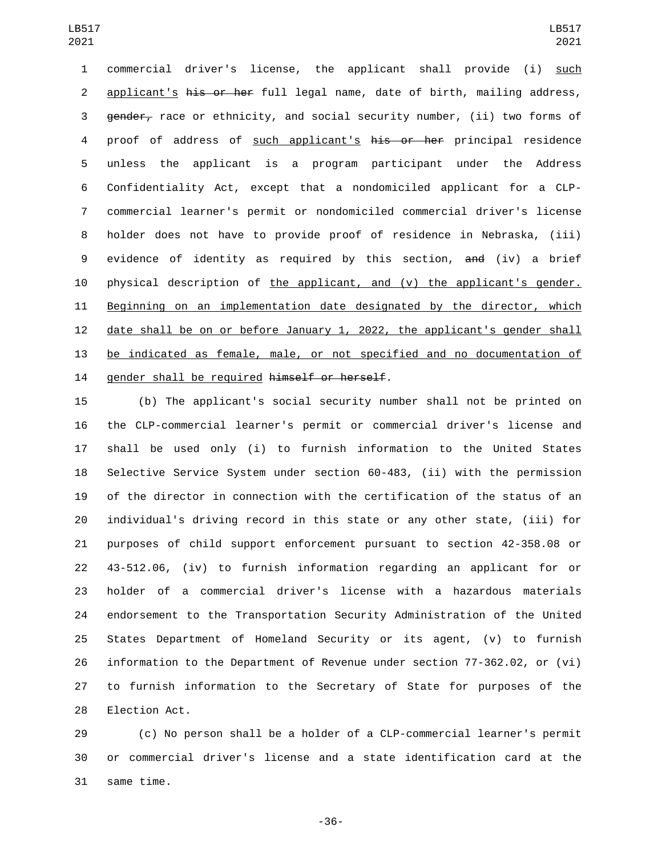commercial driver's license, the applicant shall provide (i) such 2 applicant's his or her full legal name, date of birth, mailing address, 3 gender, race or ethnicity, and social security number, (ii) two forms of 4 proof of address of such applicant's his or her principal residence unless the applicant is a program participant under the Address Confidentiality Act, except that a nondomiciled applicant for a CLP- commercial learner's permit or nondomiciled commercial driver's license holder does not have to provide proof of residence in Nebraska, (iii) evidence of identity as required by this section, and (iv) a brief physical description of the applicant, and (v) the applicant's gender. Beginning on an implementation date designated by the director, which date shall be on or before January 1, 2022, the applicant's gender shall be indicated as female, male, or not specified and no documentation of 14 gender shall be required himself or herself.

 (b) The applicant's social security number shall not be printed on the CLP-commercial learner's permit or commercial driver's license and shall be used only (i) to furnish information to the United States Selective Service System under section 60-483, (ii) with the permission of the director in connection with the certification of the status of an individual's driving record in this state or any other state, (iii) for purposes of child support enforcement pursuant to section 42-358.08 or 43-512.06, (iv) to furnish information regarding an applicant for or holder of a commercial driver's license with a hazardous materials endorsement to the Transportation Security Administration of the United States Department of Homeland Security or its agent, (v) to furnish information to the Department of Revenue under section 77-362.02, or (vi) to furnish information to the Secretary of State for purposes of the 28 Election Act.

 (c) No person shall be a holder of a CLP-commercial learner's permit or commercial driver's license and a state identification card at the 31 same time.

-36-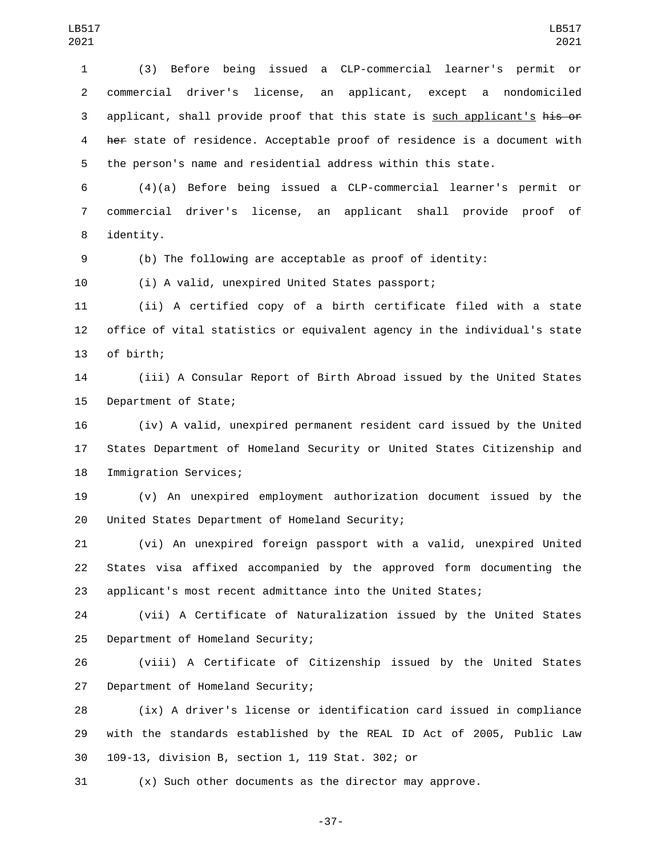(3) Before being issued a CLP-commercial learner's permit or commercial driver's license, an applicant, except a nondomiciled 3 applicant, shall provide proof that this state is such applicant's his or her state of residence. Acceptable proof of residence is a document with the person's name and residential address within this state.

 (4)(a) Before being issued a CLP-commercial learner's permit or commercial driver's license, an applicant shall provide proof of 8 identity.

(b) The following are acceptable as proof of identity:

(i) A valid, unexpired United States passport;

(ii) A certified copy of a birth certificate filed with a state

 office of vital statistics or equivalent agency in the individual's state 13 of birth;

 (iii) A Consular Report of Birth Abroad issued by the United States 15 Department of State;

 (iv) A valid, unexpired permanent resident card issued by the United States Department of Homeland Security or United States Citizenship and 18 Immigration Services;

 (v) An unexpired employment authorization document issued by the 20 United States Department of Homeland Security;

 (vi) An unexpired foreign passport with a valid, unexpired United States visa affixed accompanied by the approved form documenting the applicant's most recent admittance into the United States;

 (vii) A Certificate of Naturalization issued by the United States 25 Department of Homeland Security;

 (viii) A Certificate of Citizenship issued by the United States 27 Department of Homeland Security;

 (ix) A driver's license or identification card issued in compliance with the standards established by the REAL ID Act of 2005, Public Law 109-13, division B, section 1, 119 Stat. 302; or30

(x) Such other documents as the director may approve.

-37-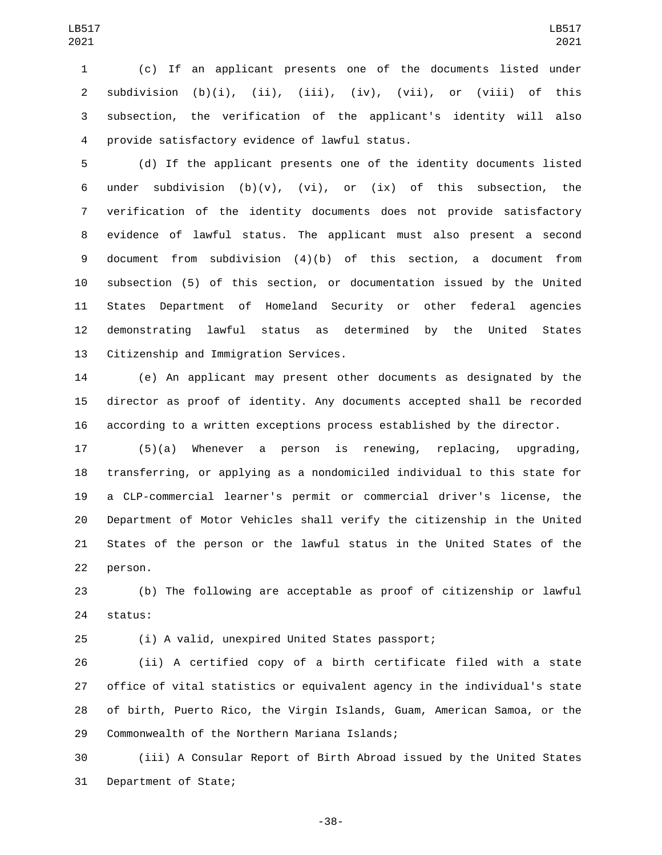(c) If an applicant presents one of the documents listed under 2 subdivision  $(b)(i)$ ,  $(ii)$ ,  $(iii)$ ,  $(iv)$ ,  $(vii)$ , or  $(viii)$  of this subsection, the verification of the applicant's identity will also provide satisfactory evidence of lawful status.4

 (d) If the applicant presents one of the identity documents listed 6 under subdivision (b)(v), (vi), or (ix) of this subsection, the verification of the identity documents does not provide satisfactory evidence of lawful status. The applicant must also present a second document from subdivision (4)(b) of this section, a document from subsection (5) of this section, or documentation issued by the United States Department of Homeland Security or other federal agencies demonstrating lawful status as determined by the United States 13 Citizenship and Immigration Services.

 (e) An applicant may present other documents as designated by the director as proof of identity. Any documents accepted shall be recorded according to a written exceptions process established by the director.

 (5)(a) Whenever a person is renewing, replacing, upgrading, transferring, or applying as a nondomiciled individual to this state for a CLP-commercial learner's permit or commercial driver's license, the Department of Motor Vehicles shall verify the citizenship in the United States of the person or the lawful status in the United States of the 22 person.

 (b) The following are acceptable as proof of citizenship or lawful 24 status:

(i) A valid, unexpired United States passport;

 (ii) A certified copy of a birth certificate filed with a state office of vital statistics or equivalent agency in the individual's state of birth, Puerto Rico, the Virgin Islands, Guam, American Samoa, or the 29 Commonwealth of the Northern Mariana Islands;

 (iii) A Consular Report of Birth Abroad issued by the United States 31 Department of State;

-38-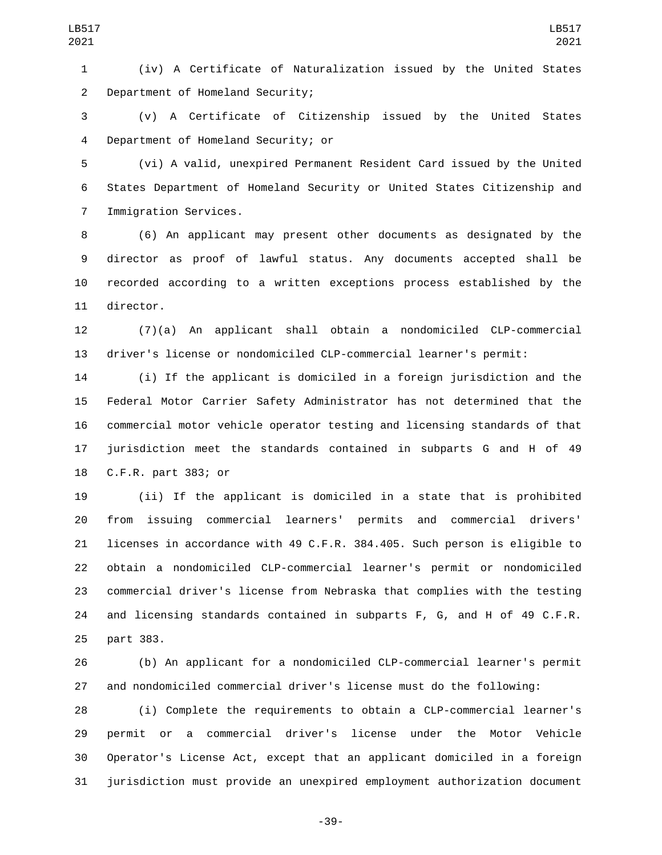(iv) A Certificate of Naturalization issued by the United States 2 Department of Homeland Security;

 (v) A Certificate of Citizenship issued by the United States Department of Homeland Security; or4

 (vi) A valid, unexpired Permanent Resident Card issued by the United States Department of Homeland Security or United States Citizenship and 7 Immigration Services.

 (6) An applicant may present other documents as designated by the director as proof of lawful status. Any documents accepted shall be recorded according to a written exceptions process established by the 11 director.

 (7)(a) An applicant shall obtain a nondomiciled CLP-commercial driver's license or nondomiciled CLP-commercial learner's permit:

 (i) If the applicant is domiciled in a foreign jurisdiction and the Federal Motor Carrier Safety Administrator has not determined that the commercial motor vehicle operator testing and licensing standards of that jurisdiction meet the standards contained in subparts G and H of 49 18 C.F.R. part 383; or

 (ii) If the applicant is domiciled in a state that is prohibited from issuing commercial learners' permits and commercial drivers' licenses in accordance with 49 C.F.R. 384.405. Such person is eligible to obtain a nondomiciled CLP-commercial learner's permit or nondomiciled commercial driver's license from Nebraska that complies with the testing and licensing standards contained in subparts F, G, and H of 49 C.F.R. 25 part 383.

 (b) An applicant for a nondomiciled CLP-commercial learner's permit and nondomiciled commercial driver's license must do the following:

 (i) Complete the requirements to obtain a CLP-commercial learner's permit or a commercial driver's license under the Motor Vehicle Operator's License Act, except that an applicant domiciled in a foreign jurisdiction must provide an unexpired employment authorization document

-39-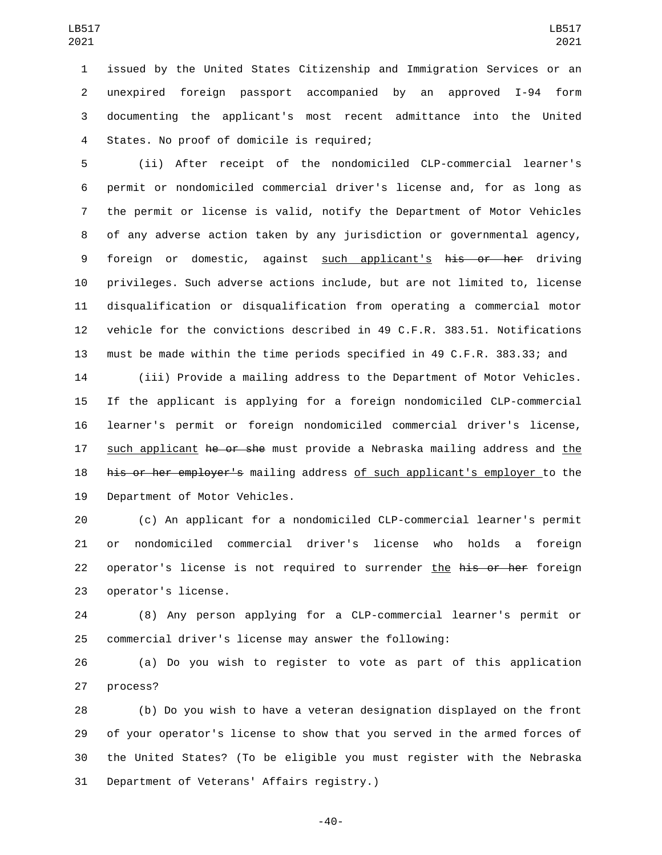issued by the United States Citizenship and Immigration Services or an unexpired foreign passport accompanied by an approved I-94 form documenting the applicant's most recent admittance into the United 4 States. No proof of domicile is required;

 (ii) After receipt of the nondomiciled CLP-commercial learner's permit or nondomiciled commercial driver's license and, for as long as the permit or license is valid, notify the Department of Motor Vehicles of any adverse action taken by any jurisdiction or governmental agency, 9 foreign or domestic, against such applicant's his or her driving privileges. Such adverse actions include, but are not limited to, license disqualification or disqualification from operating a commercial motor vehicle for the convictions described in 49 C.F.R. 383.51. Notifications must be made within the time periods specified in 49 C.F.R. 383.33; and

 (iii) Provide a mailing address to the Department of Motor Vehicles. If the applicant is applying for a foreign nondomiciled CLP-commercial learner's permit or foreign nondomiciled commercial driver's license, 17 such applicant he or she must provide a Nebraska mailing address and the his or her employer's mailing address of such applicant's employer to the 19 Department of Motor Vehicles.

 (c) An applicant for a nondomiciled CLP-commercial learner's permit or nondomiciled commercial driver's license who holds a foreign 22 operator's license is not required to surrender the his or her foreign 23 operator's license.

 (8) Any person applying for a CLP-commercial learner's permit or commercial driver's license may answer the following:

 (a) Do you wish to register to vote as part of this application 27 process?

 (b) Do you wish to have a veteran designation displayed on the front of your operator's license to show that you served in the armed forces of the United States? (To be eligible you must register with the Nebraska 31 Department of Veterans' Affairs registry.)

-40-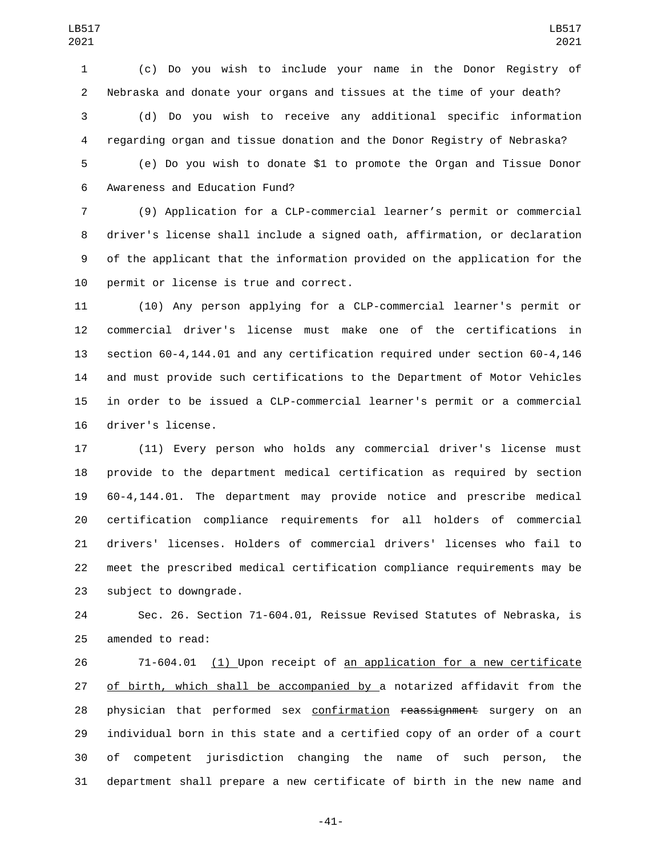(c) Do you wish to include your name in the Donor Registry of Nebraska and donate your organs and tissues at the time of your death? (d) Do you wish to receive any additional specific information regarding organ and tissue donation and the Donor Registry of Nebraska?

 (e) Do you wish to donate \$1 to promote the Organ and Tissue Donor 6 Awareness and Education Fund?

 (9) Application for a CLP-commercial learner's permit or commercial driver's license shall include a signed oath, affirmation, or declaration of the applicant that the information provided on the application for the 10 permit or license is true and correct.

 (10) Any person applying for a CLP-commercial learner's permit or commercial driver's license must make one of the certifications in section 60-4,144.01 and any certification required under section 60-4,146 and must provide such certifications to the Department of Motor Vehicles in order to be issued a CLP-commercial learner's permit or a commercial 16 driver's license.

 (11) Every person who holds any commercial driver's license must provide to the department medical certification as required by section 60-4,144.01. The department may provide notice and prescribe medical certification compliance requirements for all holders of commercial drivers' licenses. Holders of commercial drivers' licenses who fail to meet the prescribed medical certification compliance requirements may be 23 subject to downgrade.

 Sec. 26. Section 71-604.01, Reissue Revised Statutes of Nebraska, is 25 amended to read:

26 71-604.01 (1) Upon receipt of an application for a new certificate of birth, which shall be accompanied by a notarized affidavit from the 28 physician that performed sex confirmation reassignment surgery on an individual born in this state and a certified copy of an order of a court of competent jurisdiction changing the name of such person, the department shall prepare a new certificate of birth in the new name and

-41-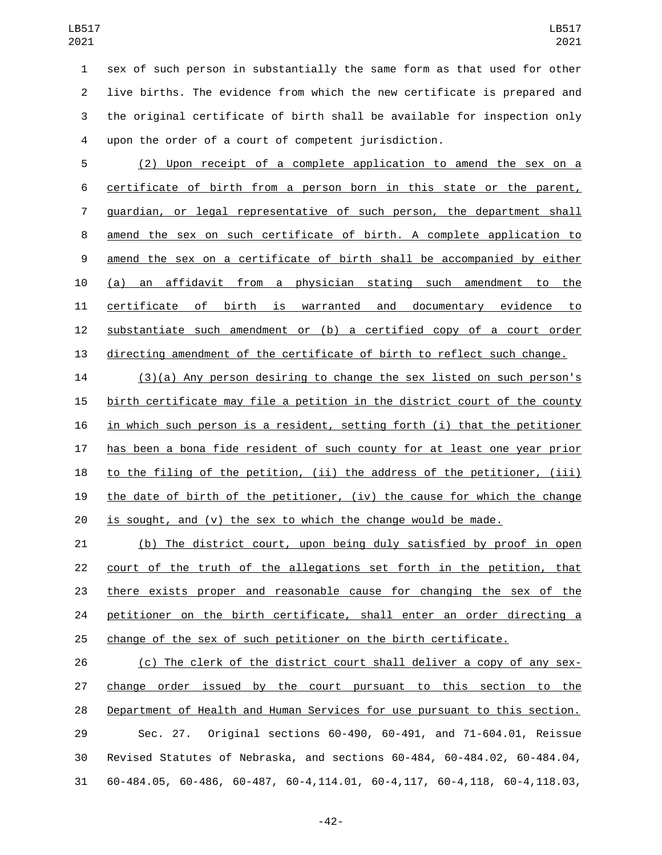sex of such person in substantially the same form as that used for other live births. The evidence from which the new certificate is prepared and the original certificate of birth shall be available for inspection only upon the order of a court of competent jurisdiction.

 (2) Upon receipt of a complete application to amend the sex on a certificate of birth from a person born in this state or the parent, guardian, or legal representative of such person, the department shall amend the sex on such certificate of birth. A complete application to amend the sex on a certificate of birth shall be accompanied by either (a) an affidavit from a physician stating such amendment to the certificate of birth is warranted and documentary evidence to substantiate such amendment or (b) a certified copy of a court order directing amendment of the certificate of birth to reflect such change.

 (3)(a) Any person desiring to change the sex listed on such person's birth certificate may file a petition in the district court of the county in which such person is a resident, setting forth (i) that the petitioner has been a bona fide resident of such county for at least one year prior to the filing of the petition, (ii) the address of the petitioner, (iii) the date of birth of the petitioner, (iv) the cause for which the change is sought, and (v) the sex to which the change would be made.

 (b) The district court, upon being duly satisfied by proof in open court of the truth of the allegations set forth in the petition, that there exists proper and reasonable cause for changing the sex of the 24 petitioner on the birth certificate, shall enter an order directing a change of the sex of such petitioner on the birth certificate.

 (c) The clerk of the district court shall deliver a copy of any sex- change order issued by the court pursuant to this section to the Department of Health and Human Services for use pursuant to this section. Sec. 27. Original sections 60-490, 60-491, and 71-604.01, Reissue Revised Statutes of Nebraska, and sections 60-484, 60-484.02, 60-484.04, 60-484.05, 60-486, 60-487, 60-4,114.01, 60-4,117, 60-4,118, 60-4,118.03,

-42-